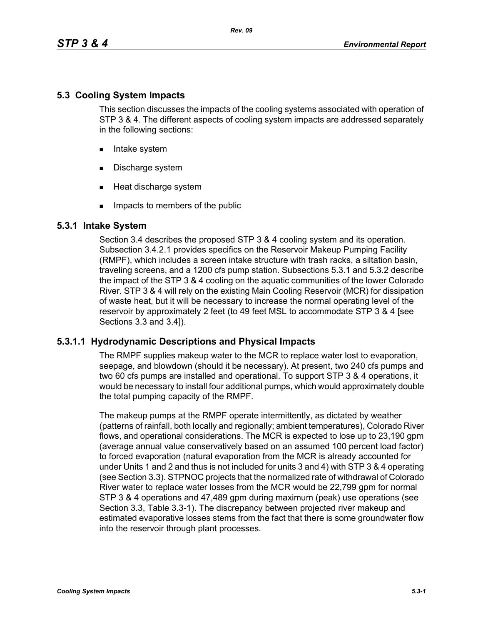# **5.3 Cooling System Impacts**

This section discusses the impacts of the cooling systems associated with operation of STP 3 & 4. The different aspects of cooling system impacts are addressed separately in the following sections:

- **Intake system**
- Discharge system
- **Heat discharge system**
- **IMPACTE THE MEMBER IMP** Impacts to members of the public

# **5.3.1 Intake System**

Section 3.4 describes the proposed STP 3 & 4 cooling system and its operation. Subsection 3.4.2.1 provides specifics on the Reservoir Makeup Pumping Facility (RMPF), which includes a screen intake structure with trash racks, a siltation basin, traveling screens, and a 1200 cfs pump station. Subsections 5.3.1 and 5.3.2 describe the impact of the STP 3 & 4 cooling on the aquatic communities of the lower Colorado River. STP 3 & 4 will rely on the existing Main Cooling Reservoir (MCR) for dissipation of waste heat, but it will be necessary to increase the normal operating level of the reservoir by approximately 2 feet (to 49 feet MSL to accommodate STP 3 & 4 [see Sections 3.3 and 3.4]).

# **5.3.1.1 Hydrodynamic Descriptions and Physical Impacts**

The RMPF supplies makeup water to the MCR to replace water lost to evaporation, seepage, and blowdown (should it be necessary). At present, two 240 cfs pumps and two 60 cfs pumps are installed and operational. To support STP 3 & 4 operations, it would be necessary to install four additional pumps, which would approximately double the total pumping capacity of the RMPF.

The makeup pumps at the RMPF operate intermittently, as dictated by weather (patterns of rainfall, both locally and regionally; ambient temperatures), Colorado River flows, and operational considerations. The MCR is expected to lose up to 23,190 gpm (average annual value conservatively based on an assumed 100 percent load factor) to forced evaporation (natural evaporation from the MCR is already accounted for under Units 1 and 2 and thus is not included for units 3 and 4) with STP 3 & 4 operating (see Section 3.3). STPNOC projects that the normalized rate of withdrawal of Colorado River water to replace water losses from the MCR would be 22,799 gpm for normal STP 3 & 4 operations and 47,489 gpm during maximum (peak) use operations (see Section 3.3, Table 3.3-1). The discrepancy between projected river makeup and estimated evaporative losses stems from the fact that there is some groundwater flow into the reservoir through plant processes.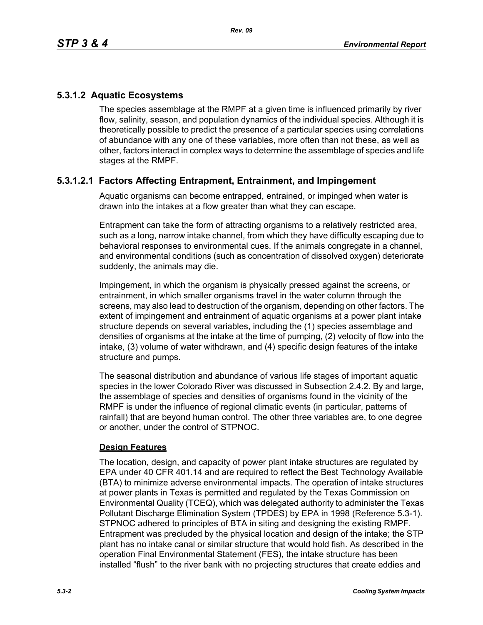# **5.3.1.2 Aquatic Ecosystems**

The species assemblage at the RMPF at a given time is influenced primarily by river flow, salinity, season, and population dynamics of the individual species. Although it is theoretically possible to predict the presence of a particular species using correlations of abundance with any one of these variables, more often than not these, as well as other, factors interact in complex ways to determine the assemblage of species and life stages at the RMPF.

# **5.3.1.2.1 Factors Affecting Entrapment, Entrainment, and Impingement**

Aquatic organisms can become entrapped, entrained, or impinged when water is drawn into the intakes at a flow greater than what they can escape.

Entrapment can take the form of attracting organisms to a relatively restricted area, such as a long, narrow intake channel, from which they have difficulty escaping due to behavioral responses to environmental cues. If the animals congregate in a channel, and environmental conditions (such as concentration of dissolved oxygen) deteriorate suddenly, the animals may die.

Impingement, in which the organism is physically pressed against the screens, or entrainment, in which smaller organisms travel in the water column through the screens, may also lead to destruction of the organism, depending on other factors. The extent of impingement and entrainment of aquatic organisms at a power plant intake structure depends on several variables, including the (1) species assemblage and densities of organisms at the intake at the time of pumping, (2) velocity of flow into the intake, (3) volume of water withdrawn, and (4) specific design features of the intake structure and pumps.

The seasonal distribution and abundance of various life stages of important aquatic species in the lower Colorado River was discussed in Subsection 2.4.2. By and large, the assemblage of species and densities of organisms found in the vicinity of the RMPF is under the influence of regional climatic events (in particular, patterns of rainfall) that are beyond human control. The other three variables are, to one degree or another, under the control of STPNOC.

## **Design Features**

The location, design, and capacity of power plant intake structures are regulated by EPA under 40 CFR 401.14 and are required to reflect the Best Technology Available (BTA) to minimize adverse environmental impacts. The operation of intake structures at power plants in Texas is permitted and regulated by the Texas Commission on Environmental Quality (TCEQ), which was delegated authority to administer the Texas Pollutant Discharge Elimination System (TPDES) by EPA in 1998 (Reference 5.3-1). STPNOC adhered to principles of BTA in siting and designing the existing RMPF. Entrapment was precluded by the physical location and design of the intake; the STP plant has no intake canal or similar structure that would hold fish. As described in the operation Final Environmental Statement (FES), the intake structure has been installed "flush" to the river bank with no projecting structures that create eddies and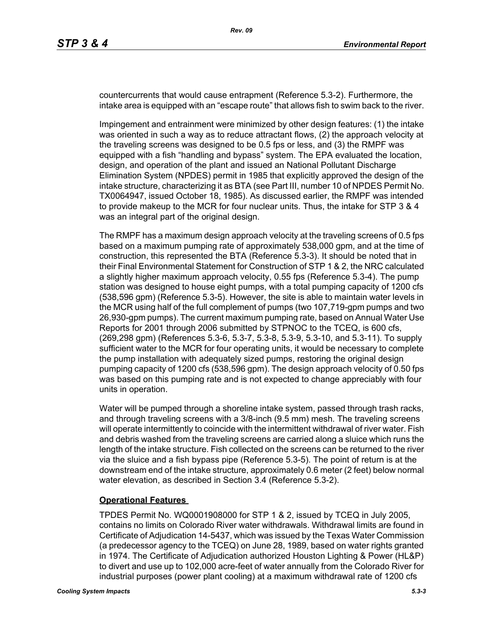countercurrents that would cause entrapment (Reference 5.3-2). Furthermore, the intake area is equipped with an "escape route" that allows fish to swim back to the river.

Impingement and entrainment were minimized by other design features: (1) the intake was oriented in such a way as to reduce attractant flows, (2) the approach velocity at the traveling screens was designed to be 0.5 fps or less, and (3) the RMPF was equipped with a fish "handling and bypass" system. The EPA evaluated the location, design, and operation of the plant and issued an National Pollutant Discharge Elimination System (NPDES) permit in 1985 that explicitly approved the design of the intake structure, characterizing it as BTA (see Part III, number 10 of NPDES Permit No. TX0064947, issued October 18, 1985). As discussed earlier, the RMPF was intended to provide makeup to the MCR for four nuclear units. Thus, the intake for STP 3 & 4 was an integral part of the original design.

The RMPF has a maximum design approach velocity at the traveling screens of 0.5 fps based on a maximum pumping rate of approximately 538,000 gpm, and at the time of construction, this represented the BTA (Reference 5.3-3). It should be noted that in their Final Environmental Statement for Construction of STP 1 & 2, the NRC calculated a slightly higher maximum approach velocity, 0.55 fps (Reference 5.3-4). The pump station was designed to house eight pumps, with a total pumping capacity of 1200 cfs (538,596 gpm) (Reference 5.3-5). However, the site is able to maintain water levels in the MCR using half of the full complement of pumps (two 107,719-gpm pumps and two 26,930-gpm pumps). The current maximum pumping rate, based on Annual Water Use Reports for 2001 through 2006 submitted by STPNOC to the TCEQ, is 600 cfs, (269,298 gpm) (References 5.3-6, 5.3-7, 5.3-8, 5.3-9, 5.3-10, and 5.3-11). To supply sufficient water to the MCR for four operating units, it would be necessary to complete the pump installation with adequately sized pumps, restoring the original design pumping capacity of 1200 cfs (538,596 gpm). The design approach velocity of 0.50 fps was based on this pumping rate and is not expected to change appreciably with four units in operation.

Water will be pumped through a shoreline intake system, passed through trash racks, and through traveling screens with a 3/8-inch (9.5 mm) mesh. The traveling screens will operate intermittently to coincide with the intermittent withdrawal of river water. Fish and debris washed from the traveling screens are carried along a sluice which runs the length of the intake structure. Fish collected on the screens can be returned to the river via the sluice and a fish bypass pipe (Reference 5.3-5). The point of return is at the downstream end of the intake structure, approximately 0.6 meter (2 feet) below normal water elevation, as described in Section 3.4 (Reference 5.3-2).

#### **Operational Features**

TPDES Permit No. WQ0001908000 for STP 1 & 2, issued by TCEQ in July 2005, contains no limits on Colorado River water withdrawals. Withdrawal limits are found in Certificate of Adjudication 14-5437, which was issued by the Texas Water Commission (a predecessor agency to the TCEQ) on June 28, 1989, based on water rights granted in 1974. The Certificate of Adjudication authorized Houston Lighting & Power (HL&P) to divert and use up to 102,000 acre-feet of water annually from the Colorado River for industrial purposes (power plant cooling) at a maximum withdrawal rate of 1200 cfs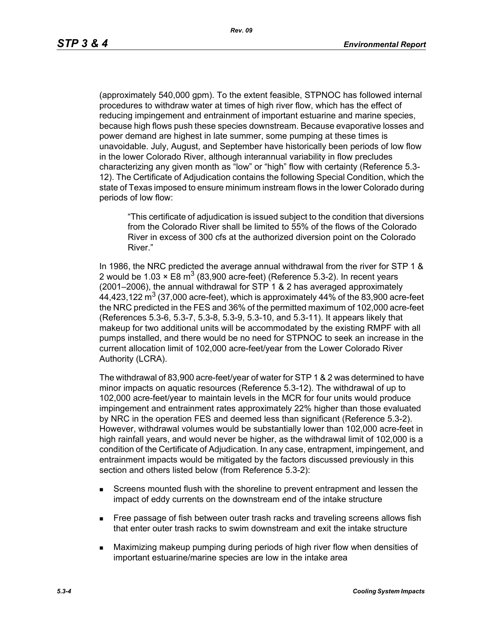(approximately 540,000 gpm). To the extent feasible, STPNOC has followed internal procedures to withdraw water at times of high river flow, which has the effect of reducing impingement and entrainment of important estuarine and marine species, because high flows push these species downstream. Because evaporative losses and power demand are highest in late summer, some pumping at these times is unavoidable. July, August, and September have historically been periods of low flow in the lower Colorado River, although interannual variability in flow precludes characterizing any given month as "low" or "high" flow with certainty (Reference 5.3- 12). The Certificate of Adjudication contains the following Special Condition, which the state of Texas imposed to ensure minimum instream flows in the lower Colorado during periods of low flow:

"This certificate of adjudication is issued subject to the condition that diversions from the Colorado River shall be limited to 55% of the flows of the Colorado River in excess of 300 cfs at the authorized diversion point on the Colorado River."

In 1986, the NRC predicted the average annual withdrawal from the river for STP 1 & 2 would be 1.03  $\times$  E8 m<sup>3</sup> (83,900 acre-feet) (Reference 5.3-2). In recent years (2001–2006), the annual withdrawal for STP 1 & 2 has averaged approximately 44,423,122  $\text{m}^3$  (37,000 acre-feet), which is approximately 44% of the 83,900 acre-feet the NRC predicted in the FES and 36% of the permitted maximum of 102,000 acre-feet (References 5.3-6, 5.3-7, 5.3-8, 5.3-9, 5.3-10, and 5.3-11). It appears likely that makeup for two additional units will be accommodated by the existing RMPF with all pumps installed, and there would be no need for STPNOC to seek an increase in the current allocation limit of 102,000 acre-feet/year from the Lower Colorado River Authority (LCRA).

The withdrawal of 83,900 acre-feet/year of water for STP 1 & 2 was determined to have minor impacts on aquatic resources (Reference 5.3-12). The withdrawal of up to 102,000 acre-feet/year to maintain levels in the MCR for four units would produce impingement and entrainment rates approximately 22% higher than those evaluated by NRC in the operation FES and deemed less than significant (Reference 5.3-2). However, withdrawal volumes would be substantially lower than 102,000 acre-feet in high rainfall years, and would never be higher, as the withdrawal limit of 102,000 is a condition of the Certificate of Adjudication. In any case, entrapment, impingement, and entrainment impacts would be mitigated by the factors discussed previously in this section and others listed below (from Reference 5.3-2):

- Screens mounted flush with the shoreline to prevent entrapment and lessen the impact of eddy currents on the downstream end of the intake structure
- **Free passage of fish between outer trash racks and traveling screens allows fish** that enter outer trash racks to swim downstream and exit the intake structure
- Maximizing makeup pumping during periods of high river flow when densities of important estuarine/marine species are low in the intake area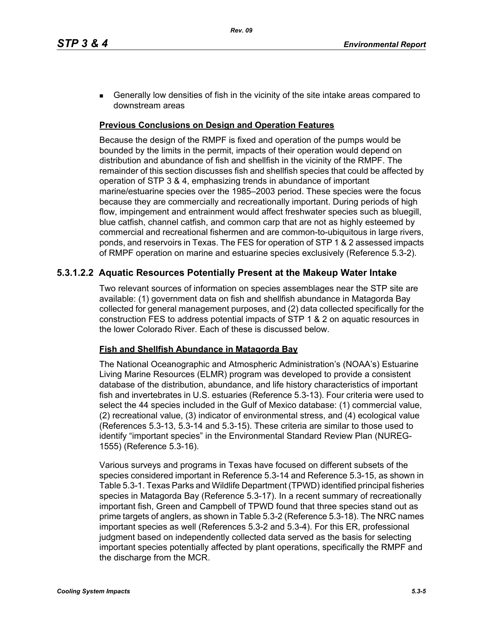**Generally low densities of fish in the vicinity of the site intake areas compared to** downstream areas

### **Previous Conclusions on Design and Operation Features**

Because the design of the RMPF is fixed and operation of the pumps would be bounded by the limits in the permit, impacts of their operation would depend on distribution and abundance of fish and shellfish in the vicinity of the RMPF. The remainder of this section discusses fish and shellfish species that could be affected by operation of STP 3 & 4, emphasizing trends in abundance of important marine/estuarine species over the 1985–2003 period. These species were the focus because they are commercially and recreationally important. During periods of high flow, impingement and entrainment would affect freshwater species such as bluegill, blue catfish, channel catfish, and common carp that are not as highly esteemed by commercial and recreational fishermen and are common-to-ubiquitous in large rivers, ponds, and reservoirs in Texas. The FES for operation of STP 1 & 2 assessed impacts of RMPF operation on marine and estuarine species exclusively (Reference 5.3-2).

# **5.3.1.2.2 Aquatic Resources Potentially Present at the Makeup Water Intake**

Two relevant sources of information on species assemblages near the STP site are available: (1) government data on fish and shellfish abundance in Matagorda Bay collected for general management purposes, and (2) data collected specifically for the construction FES to address potential impacts of STP 1 & 2 on aquatic resources in the lower Colorado River. Each of these is discussed below.

## **Fish and Shellfish Abundance in Matagorda Bay**

The National Oceanographic and Atmospheric Administration's (NOAA's) Estuarine Living Marine Resources (ELMR) program was developed to provide a consistent database of the distribution, abundance, and life history characteristics of important fish and invertebrates in U.S. estuaries (Reference 5.3-13). Four criteria were used to select the 44 species included in the Gulf of Mexico database: (1) commercial value, (2) recreational value, (3) indicator of environmental stress, and (4) ecological value (References 5.3-13, 5.3-14 and 5.3-15). These criteria are similar to those used to identify "important species" in the Environmental Standard Review Plan (NUREG-1555) (Reference 5.3-16).

Various surveys and programs in Texas have focused on different subsets of the species considered important in Reference 5.3-14 and Reference 5.3-15, as shown in Table 5.3-1. Texas Parks and Wildlife Department (TPWD) identified principal fisheries species in Matagorda Bay (Reference 5.3-17). In a recent summary of recreationally important fish, Green and Campbell of TPWD found that three species stand out as prime targets of anglers, as shown in Table 5.3-2 (Reference 5.3-18). The NRC names important species as well (References 5.3-2 and 5.3-4). For this ER, professional judgment based on independently collected data served as the basis for selecting important species potentially affected by plant operations, specifically the RMPF and the discharge from the MCR.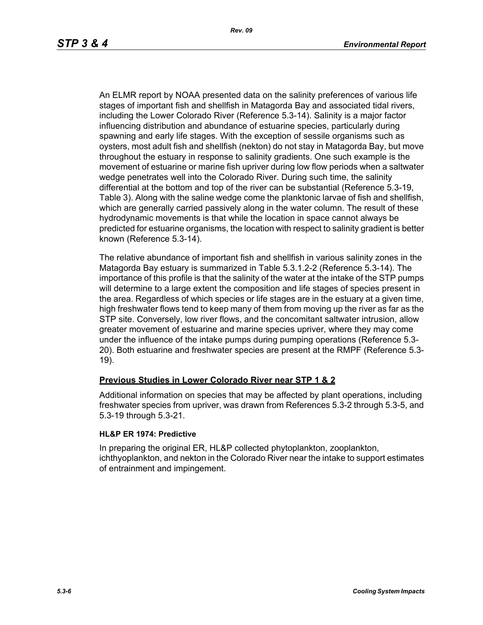An ELMR report by NOAA presented data on the salinity preferences of various life stages of important fish and shellfish in Matagorda Bay and associated tidal rivers, including the Lower Colorado River (Reference 5.3-14). Salinity is a major factor influencing distribution and abundance of estuarine species, particularly during spawning and early life stages. With the exception of sessile organisms such as oysters, most adult fish and shellfish (nekton) do not stay in Matagorda Bay, but move throughout the estuary in response to salinity gradients. One such example is the movement of estuarine or marine fish upriver during low flow periods when a saltwater wedge penetrates well into the Colorado River. During such time, the salinity differential at the bottom and top of the river can be substantial (Reference 5.3-19, Table 3). Along with the saline wedge come the planktonic larvae of fish and shellfish, which are generally carried passively along in the water column. The result of these hydrodynamic movements is that while the location in space cannot always be predicted for estuarine organisms, the location with respect to salinity gradient is better known (Reference 5.3-14).

The relative abundance of important fish and shellfish in various salinity zones in the Matagorda Bay estuary is summarized in Table 5.3.1.2-2 (Reference 5.3-14). The importance of this profile is that the salinity of the water at the intake of the STP pumps will determine to a large extent the composition and life stages of species present in the area. Regardless of which species or life stages are in the estuary at a given time, high freshwater flows tend to keep many of them from moving up the river as far as the STP site. Conversely, low river flows, and the concomitant saltwater intrusion, allow greater movement of estuarine and marine species upriver, where they may come under the influence of the intake pumps during pumping operations (Reference 5.3- 20). Both estuarine and freshwater species are present at the RMPF (Reference 5.3- 19).

## **Previous Studies in Lower Colorado River near STP 1 & 2**

Additional information on species that may be affected by plant operations, including freshwater species from upriver, was drawn from References 5.3-2 through 5.3-5, and 5.3-19 through 5.3-21.

#### **HL&P ER 1974: Predictive**

In preparing the original ER, HL&P collected phytoplankton, zooplankton, ichthyoplankton, and nekton in the Colorado River near the intake to support estimates of entrainment and impingement.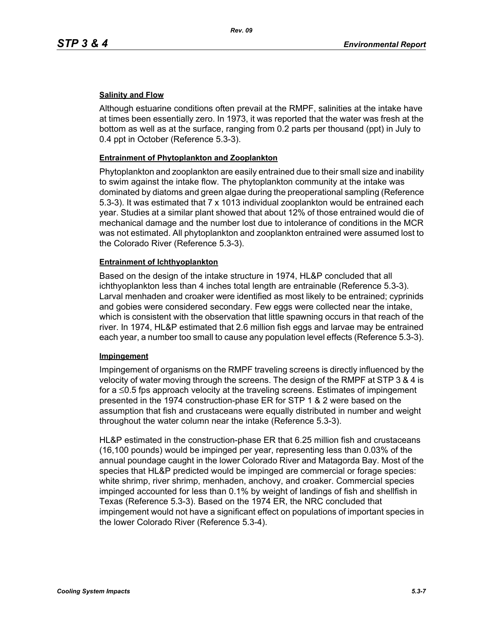### **Salinity and Flow**

Although estuarine conditions often prevail at the RMPF, salinities at the intake have at times been essentially zero. In 1973, it was reported that the water was fresh at the bottom as well as at the surface, ranging from 0.2 parts per thousand (ppt) in July to 0.4 ppt in October (Reference 5.3-3).

#### **Entrainment of Phytoplankton and Zooplankton**

Phytoplankton and zooplankton are easily entrained due to their small size and inability to swim against the intake flow. The phytoplankton community at the intake was dominated by diatoms and green algae during the preoperational sampling (Reference 5.3-3). It was estimated that 7 x 1013 individual zooplankton would be entrained each year. Studies at a similar plant showed that about 12% of those entrained would die of mechanical damage and the number lost due to intolerance of conditions in the MCR was not estimated. All phytoplankton and zooplankton entrained were assumed lost to the Colorado River (Reference 5.3-3).

#### **Entrainment of Ichthyoplankton**

Based on the design of the intake structure in 1974, HL&P concluded that all ichthyoplankton less than 4 inches total length are entrainable (Reference 5.3-3). Larval menhaden and croaker were identified as most likely to be entrained; cyprinids and gobies were considered secondary. Few eggs were collected near the intake, which is consistent with the observation that little spawning occurs in that reach of the river. In 1974, HL&P estimated that 2.6 million fish eggs and larvae may be entrained each year, a number too small to cause any population level effects (Reference 5.3-3).

#### **Impingement**

Impingement of organisms on the RMPF traveling screens is directly influenced by the velocity of water moving through the screens. The design of the RMPF at STP 3 & 4 is for a ≤0.5 fps approach velocity at the traveling screens. Estimates of impingement presented in the 1974 construction-phase ER for STP 1 & 2 were based on the assumption that fish and crustaceans were equally distributed in number and weight throughout the water column near the intake (Reference 5.3-3).

HL&P estimated in the construction-phase ER that 6.25 million fish and crustaceans (16,100 pounds) would be impinged per year, representing less than 0.03% of the annual poundage caught in the lower Colorado River and Matagorda Bay. Most of the species that HL&P predicted would be impinged are commercial or forage species: white shrimp, river shrimp, menhaden, anchovy, and croaker. Commercial species impinged accounted for less than 0.1% by weight of landings of fish and shellfish in Texas (Reference 5.3-3). Based on the 1974 ER, the NRC concluded that impingement would not have a significant effect on populations of important species in the lower Colorado River (Reference 5.3-4).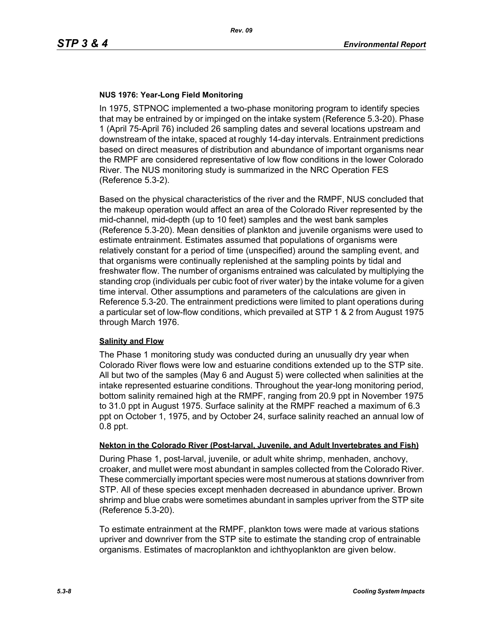### **NUS 1976: Year-Long Field Monitoring**

In 1975, STPNOC implemented a two-phase monitoring program to identify species that may be entrained by or impinged on the intake system (Reference 5.3-20). Phase 1 (April 75-April 76) included 26 sampling dates and several locations upstream and downstream of the intake, spaced at roughly 14-day intervals. Entrainment predictions based on direct measures of distribution and abundance of important organisms near the RMPF are considered representative of low flow conditions in the lower Colorado River. The NUS monitoring study is summarized in the NRC Operation FES (Reference 5.3-2).

Based on the physical characteristics of the river and the RMPF, NUS concluded that the makeup operation would affect an area of the Colorado River represented by the mid-channel, mid-depth (up to 10 feet) samples and the west bank samples (Reference 5.3-20). Mean densities of plankton and juvenile organisms were used to estimate entrainment. Estimates assumed that populations of organisms were relatively constant for a period of time (unspecified) around the sampling event, and that organisms were continually replenished at the sampling points by tidal and freshwater flow. The number of organisms entrained was calculated by multiplying the standing crop (individuals per cubic foot of river water) by the intake volume for a given time interval. Other assumptions and parameters of the calculations are given in Reference 5.3-20. The entrainment predictions were limited to plant operations during a particular set of low-flow conditions, which prevailed at STP 1 & 2 from August 1975 through March 1976.

#### **Salinity and Flow**

The Phase 1 monitoring study was conducted during an unusually dry year when Colorado River flows were low and estuarine conditions extended up to the STP site. All but two of the samples (May 6 and August 5) were collected when salinities at the intake represented estuarine conditions. Throughout the year-long monitoring period, bottom salinity remained high at the RMPF, ranging from 20.9 ppt in November 1975 to 31.0 ppt in August 1975. Surface salinity at the RMPF reached a maximum of 6.3 ppt on October 1, 1975, and by October 24, surface salinity reached an annual low of 0.8 ppt.

#### **Nekton in the Colorado River (Post-larval, Juvenile, and Adult Invertebrates and Fish)**

During Phase 1, post-larval, juvenile, or adult white shrimp, menhaden, anchovy, croaker, and mullet were most abundant in samples collected from the Colorado River. These commercially important species were most numerous at stations downriver from STP. All of these species except menhaden decreased in abundance upriver. Brown shrimp and blue crabs were sometimes abundant in samples upriver from the STP site (Reference 5.3-20).

To estimate entrainment at the RMPF, plankton tows were made at various stations upriver and downriver from the STP site to estimate the standing crop of entrainable organisms. Estimates of macroplankton and ichthyoplankton are given below.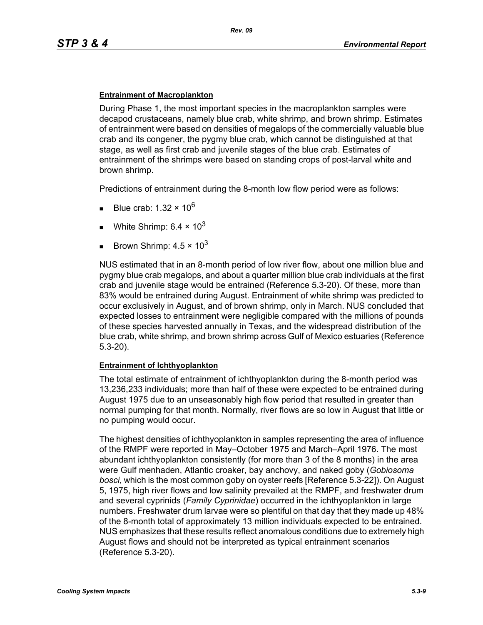#### **Entrainment of Macroplankton**

During Phase 1, the most important species in the macroplankton samples were decapod crustaceans, namely blue crab, white shrimp, and brown shrimp. Estimates of entrainment were based on densities of megalops of the commercially valuable blue crab and its congener, the pygmy blue crab, which cannot be distinguished at that stage, as well as first crab and juvenile stages of the blue crab. Estimates of entrainment of the shrimps were based on standing crops of post-larval white and brown shrimp.

Predictions of entrainment during the 8-month low flow period were as follows:

- Blue crab: 1.32  $\times$  10<sup>6</sup>
- White Shrimp:  $6.4 \times 10^3$
- Brown Shrimp:  $4.5 \times 10^3$

NUS estimated that in an 8-month period of low river flow, about one million blue and pygmy blue crab megalops, and about a quarter million blue crab individuals at the first crab and juvenile stage would be entrained (Reference 5.3-20). Of these, more than 83% would be entrained during August. Entrainment of white shrimp was predicted to occur exclusively in August, and of brown shrimp, only in March. NUS concluded that expected losses to entrainment were negligible compared with the millions of pounds of these species harvested annually in Texas, and the widespread distribution of the blue crab, white shrimp, and brown shrimp across Gulf of Mexico estuaries (Reference 5.3-20).

#### **Entrainment of Ichthyoplankton**

The total estimate of entrainment of ichthyoplankton during the 8-month period was 13,236,233 individuals; more than half of these were expected to be entrained during August 1975 due to an unseasonably high flow period that resulted in greater than normal pumping for that month. Normally, river flows are so low in August that little or no pumping would occur.

The highest densities of ichthyoplankton in samples representing the area of influence of the RMPF were reported in May–October 1975 and March–April 1976. The most abundant ichthyoplankton consistently (for more than 3 of the 8 months) in the area were Gulf menhaden, Atlantic croaker, bay anchovy, and naked goby (*Gobiosoma bosci*, which is the most common goby on oyster reefs [Reference 5.3-22]). On August 5, 1975, high river flows and low salinity prevailed at the RMPF, and freshwater drum and several cyprinids (*Family Cyprinidae*) occurred in the ichthyoplankton in large numbers. Freshwater drum larvae were so plentiful on that day that they made up 48% of the 8-month total of approximately 13 million individuals expected to be entrained. NUS emphasizes that these results reflect anomalous conditions due to extremely high August flows and should not be interpreted as typical entrainment scenarios (Reference 5.3-20).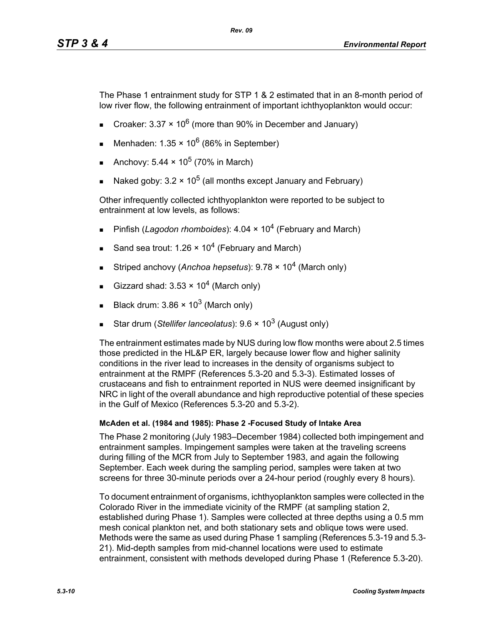The Phase 1 entrainment study for STP 1 & 2 estimated that in an 8-month period of low river flow, the following entrainment of important ichthyoplankton would occur:

- Croaker: 3.37  $\times$  10<sup>6</sup> (more than 90% in December and January)
- Menhaden:  $1.35 \times 10^6$  (86% in September)
- Anchovy:  $5.44 \times 10^5$  (70% in March)
- Naked goby:  $3.2 \times 10^5$  (all months except January and February)

Other infrequently collected ichthyoplankton were reported to be subject to entrainment at low levels, as follows:

- Pinfish (*Lagodon rhomboides*): 4.04 × 10<sup>4</sup> (February and March)
- Sand sea trout: 1.26  $\times$  10<sup>4</sup> (February and March)
- Striped anchovy (*Anchoa hepsetus*): 9.78 × 104 (March only)
- Gizzard shad:  $3.53 \times 10^4$  (March only)
- Black drum:  $3.86 \times 10^3$  (March only)
- Star drum (*Stellifer lanceolatus*): 9.6 × 10<sup>3</sup> (August only)

The entrainment estimates made by NUS during low flow months were about 2.5 times those predicted in the HL&P ER, largely because lower flow and higher salinity conditions in the river lead to increases in the density of organisms subject to entrainment at the RMPF (References 5.3-20 and 5.3-3). Estimated losses of crustaceans and fish to entrainment reported in NUS were deemed insignificant by NRC in light of the overall abundance and high reproductive potential of these species in the Gulf of Mexico (References 5.3-20 and 5.3-2).

## **McAden et al. (1984 and 1985): Phase 2 -Focused Study of Intake Area**

The Phase 2 monitoring (July 1983–December 1984) collected both impingement and entrainment samples. Impingement samples were taken at the traveling screens during filling of the MCR from July to September 1983, and again the following September. Each week during the sampling period, samples were taken at two screens for three 30-minute periods over a 24-hour period (roughly every 8 hours).

To document entrainment of organisms, ichthyoplankton samples were collected in the Colorado River in the immediate vicinity of the RMPF (at sampling station 2, established during Phase 1). Samples were collected at three depths using a 0.5 mm mesh conical plankton net, and both stationary sets and oblique tows were used. Methods were the same as used during Phase 1 sampling (References 5.3-19 and 5.3- 21). Mid-depth samples from mid-channel locations were used to estimate entrainment, consistent with methods developed during Phase 1 (Reference 5.3-20).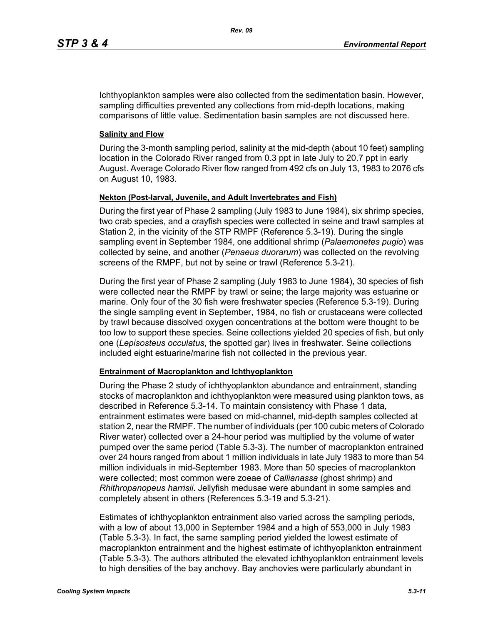Ichthyoplankton samples were also collected from the sedimentation basin. However, sampling difficulties prevented any collections from mid-depth locations, making comparisons of little value. Sedimentation basin samples are not discussed here.

### **Salinity and Flow**

During the 3-month sampling period, salinity at the mid-depth (about 10 feet) sampling location in the Colorado River ranged from 0.3 ppt in late July to 20.7 ppt in early August. Average Colorado River flow ranged from 492 cfs on July 13, 1983 to 2076 cfs on August 10, 1983.

## **Nekton (Post-larval, Juvenile, and Adult Invertebrates and Fish)**

During the first year of Phase 2 sampling (July 1983 to June 1984), six shrimp species, two crab species, and a crayfish species were collected in seine and trawl samples at Station 2, in the vicinity of the STP RMPF (Reference 5.3-19). During the single sampling event in September 1984, one additional shrimp (*Palaemonetes pugio*) was collected by seine, and another (*Penaeus duorarum*) was collected on the revolving screens of the RMPF, but not by seine or trawl (Reference 5.3-21).

During the first year of Phase 2 sampling (July 1983 to June 1984), 30 species of fish were collected near the RMPF by trawl or seine; the large majority was estuarine or marine. Only four of the 30 fish were freshwater species (Reference 5.3-19). During the single sampling event in September, 1984, no fish or crustaceans were collected by trawl because dissolved oxygen concentrations at the bottom were thought to be too low to support these species. Seine collections yielded 20 species of fish, but only one (*Lepisosteus occulatus*, the spotted gar) lives in freshwater. Seine collections included eight estuarine/marine fish not collected in the previous year.

#### **Entrainment of Macroplankton and Ichthyoplankton**

During the Phase 2 study of ichthyoplankton abundance and entrainment, standing stocks of macroplankton and ichthyoplankton were measured using plankton tows, as described in Reference 5.3-14. To maintain consistency with Phase 1 data, entrainment estimates were based on mid-channel, mid-depth samples collected at station 2, near the RMPF. The number of individuals (per 100 cubic meters of Colorado River water) collected over a 24-hour period was multiplied by the volume of water pumped over the same period (Table 5.3-3). The number of macroplankton entrained over 24 hours ranged from about 1 million individuals in late July 1983 to more than 54 million individuals in mid-September 1983. More than 50 species of macroplankton were collected; most common were zoeae of *Callianassa* (ghost shrimp) and *Rhithropanopeus harrisii*. Jellyfish medusae were abundant in some samples and completely absent in others (References 5.3-19 and 5.3-21).

Estimates of ichthyoplankton entrainment also varied across the sampling periods, with a low of about 13,000 in September 1984 and a high of 553,000 in July 1983 (Table 5.3-3). In fact, the same sampling period yielded the lowest estimate of macroplankton entrainment and the highest estimate of ichthyoplankton entrainment (Table 5.3-3). The authors attributed the elevated ichthyoplankton entrainment levels to high densities of the bay anchovy. Bay anchovies were particularly abundant in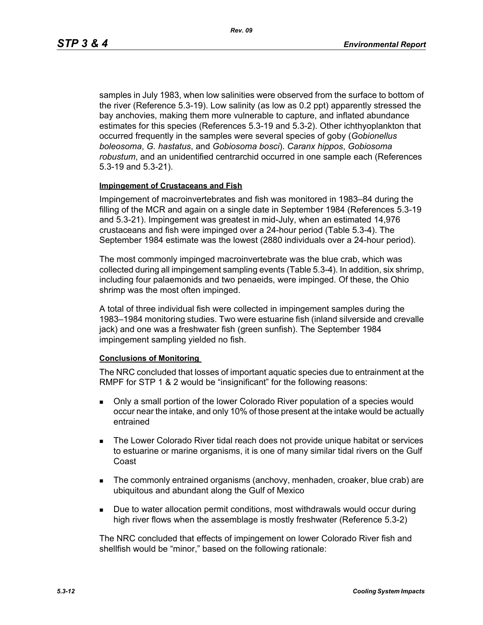samples in July 1983, when low salinities were observed from the surface to bottom of the river (Reference 5.3-19). Low salinity (as low as 0.2 ppt) apparently stressed the bay anchovies, making them more vulnerable to capture, and inflated abundance estimates for this species (References 5.3-19 and 5.3-2). Other ichthyoplankton that occurred frequently in the samples were several species of goby (*Gobionellus boleosoma*, *G. hastatus*, and *Gobiosoma bosci*). *Caranx hippos*, *Gobiosoma robustum*, and an unidentified centrarchid occurred in one sample each (References 5.3-19 and 5.3-21).

#### **Impingement of Crustaceans and Fish**

Impingement of macroinvertebrates and fish was monitored in 1983–84 during the filling of the MCR and again on a single date in September 1984 (References 5.3-19 and 5.3-21). Impingement was greatest in mid-July, when an estimated 14,976 crustaceans and fish were impinged over a 24-hour period (Table 5.3-4). The September 1984 estimate was the lowest (2880 individuals over a 24-hour period).

The most commonly impinged macroinvertebrate was the blue crab, which was collected during all impingement sampling events (Table 5.3-4). In addition, six shrimp, including four palaemonids and two penaeids, were impinged. Of these, the Ohio shrimp was the most often impinged.

A total of three individual fish were collected in impingement samples during the 1983–1984 monitoring studies. Two were estuarine fish (inland silverside and crevalle jack) and one was a freshwater fish (green sunfish). The September 1984 impingement sampling yielded no fish.

#### **Conclusions of Monitoring**

The NRC concluded that losses of important aquatic species due to entrainment at the RMPF for STP 1 & 2 would be "insignificant" for the following reasons:

- Only a small portion of the lower Colorado River population of a species would occur near the intake, and only 10% of those present at the intake would be actually entrained
- **The Lower Colorado River tidal reach does not provide unique habitat or services** to estuarine or marine organisms, it is one of many similar tidal rivers on the Gulf Coast
- The commonly entrained organisms (anchovy, menhaden, croaker, blue crab) are ubiquitous and abundant along the Gulf of Mexico
- **Due to water allocation permit conditions, most withdrawals would occur during** high river flows when the assemblage is mostly freshwater (Reference 5.3-2)

The NRC concluded that effects of impingement on lower Colorado River fish and shellfish would be "minor," based on the following rationale: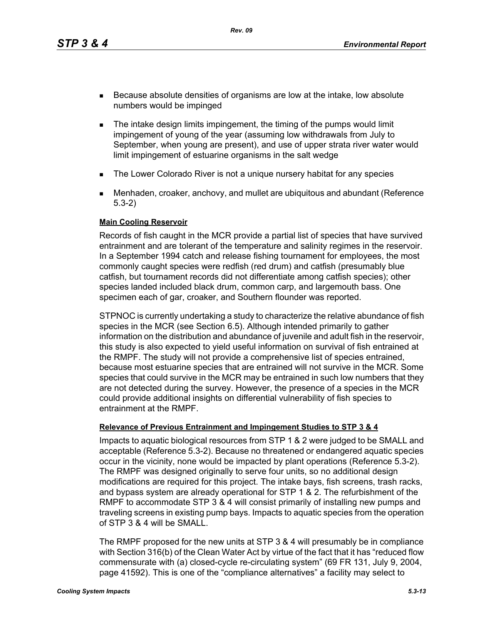*Rev. 09*

- Because absolute densities of organisms are low at the intake, low absolute numbers would be impinged
- **The intake design limits impingement, the timing of the pumps would limit** impingement of young of the year (assuming low withdrawals from July to September, when young are present), and use of upper strata river water would limit impingement of estuarine organisms in the salt wedge
- **The Lower Colorado River is not a unique nursery habitat for any species**
- Menhaden, croaker, anchovy, and mullet are ubiquitous and abundant (Reference 5.3-2)

#### **Main Cooling Reservoir**

Records of fish caught in the MCR provide a partial list of species that have survived entrainment and are tolerant of the temperature and salinity regimes in the reservoir. In a September 1994 catch and release fishing tournament for employees, the most commonly caught species were redfish (red drum) and catfish (presumably blue catfish, but tournament records did not differentiate among catfish species); other species landed included black drum, common carp, and largemouth bass. One specimen each of gar, croaker, and Southern flounder was reported.

STPNOC is currently undertaking a study to characterize the relative abundance of fish species in the MCR (see Section 6.5). Although intended primarily to gather information on the distribution and abundance of juvenile and adult fish in the reservoir, this study is also expected to yield useful information on survival of fish entrained at the RMPF. The study will not provide a comprehensive list of species entrained, because most estuarine species that are entrained will not survive in the MCR. Some species that could survive in the MCR may be entrained in such low numbers that they are not detected during the survey. However, the presence of a species in the MCR could provide additional insights on differential vulnerability of fish species to entrainment at the RMPF.

## **Relevance of Previous Entrainment and Impingement Studies to STP 3 & 4**

Impacts to aquatic biological resources from STP 1 & 2 were judged to be SMALL and acceptable (Reference 5.3-2). Because no threatened or endangered aquatic species occur in the vicinity, none would be impacted by plant operations (Reference 5.3-2). The RMPF was designed originally to serve four units, so no additional design modifications are required for this project. The intake bays, fish screens, trash racks, and bypass system are already operational for STP 1 & 2. The refurbishment of the RMPF to accommodate STP 3 & 4 will consist primarily of installing new pumps and traveling screens in existing pump bays. Impacts to aquatic species from the operation of STP 3 & 4 will be SMALL.

The RMPF proposed for the new units at STP 3 & 4 will presumably be in compliance with Section 316(b) of the Clean Water Act by virtue of the fact that it has "reduced flow commensurate with (a) closed-cycle re-circulating system" (69 FR 131, July 9, 2004, page 41592). This is one of the "compliance alternatives" a facility may select to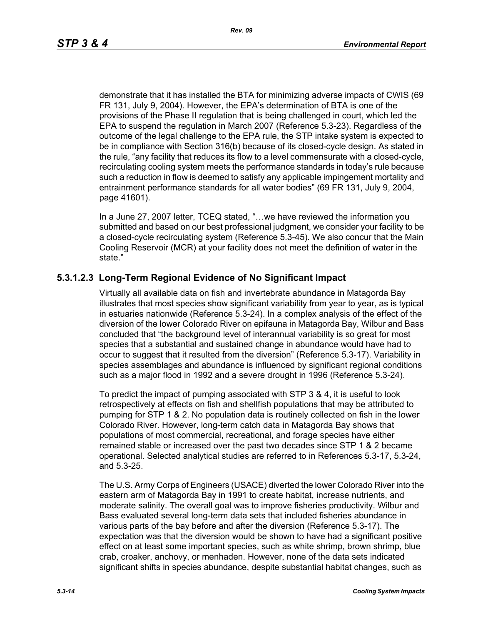demonstrate that it has installed the BTA for minimizing adverse impacts of CWIS (69 FR 131, July 9, 2004). However, the EPA's determination of BTA is one of the provisions of the Phase II regulation that is being challenged in court, which led the EPA to suspend the regulation in March 2007 (Reference 5.3-23). Regardless of the outcome of the legal challenge to the EPA rule, the STP intake system is expected to be in compliance with Section 316(b) because of its closed-cycle design. As stated in the rule, "any facility that reduces its flow to a level commensurate with a closed-cycle, recirculating cooling system meets the performance standards in today's rule because such a reduction in flow is deemed to satisfy any applicable impingement mortality and entrainment performance standards for all water bodies" (69 FR 131, July 9, 2004, page 41601).

In a June 27, 2007 letter, TCEQ stated, "…we have reviewed the information you submitted and based on our best professional judgment, we consider your facility to be a closed-cycle recirculating system (Reference 5.3-45). We also concur that the Main Cooling Reservoir (MCR) at your facility does not meet the definition of water in the state."

# **5.3.1.2.3 Long-Term Regional Evidence of No Significant Impact**

Virtually all available data on fish and invertebrate abundance in Matagorda Bay illustrates that most species show significant variability from year to year, as is typical in estuaries nationwide (Reference 5.3-24). In a complex analysis of the effect of the diversion of the lower Colorado River on epifauna in Matagorda Bay, Wilbur and Bass concluded that "the background level of interannual variability is so great for most species that a substantial and sustained change in abundance would have had to occur to suggest that it resulted from the diversion" (Reference 5.3-17). Variability in species assemblages and abundance is influenced by significant regional conditions such as a major flood in 1992 and a severe drought in 1996 (Reference 5.3-24).

To predict the impact of pumping associated with STP 3 & 4, it is useful to look retrospectively at effects on fish and shellfish populations that may be attributed to pumping for STP 1 & 2. No population data is routinely collected on fish in the lower Colorado River. However, long-term catch data in Matagorda Bay shows that populations of most commercial, recreational, and forage species have either remained stable or increased over the past two decades since STP 1 & 2 became operational. Selected analytical studies are referred to in References 5.3-17, 5.3-24, and 5.3-25.

The U.S. Army Corps of Engineers (USACE) diverted the lower Colorado River into the eastern arm of Matagorda Bay in 1991 to create habitat, increase nutrients, and moderate salinity. The overall goal was to improve fisheries productivity. Wilbur and Bass evaluated several long-term data sets that included fisheries abundance in various parts of the bay before and after the diversion (Reference 5.3-17). The expectation was that the diversion would be shown to have had a significant positive effect on at least some important species, such as white shrimp, brown shrimp, blue crab, croaker, anchovy, or menhaden. However, none of the data sets indicated significant shifts in species abundance, despite substantial habitat changes, such as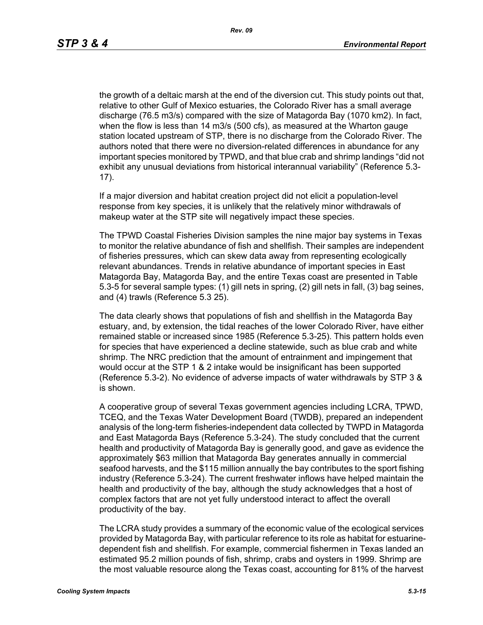the growth of a deltaic marsh at the end of the diversion cut. This study points out that, relative to other Gulf of Mexico estuaries, the Colorado River has a small average discharge (76.5 m3/s) compared with the size of Matagorda Bay (1070 km2). In fact, when the flow is less than 14 m3/s (500 cfs), as measured at the Wharton gauge station located upstream of STP, there is no discharge from the Colorado River. The authors noted that there were no diversion-related differences in abundance for any important species monitored by TPWD, and that blue crab and shrimp landings "did not exhibit any unusual deviations from historical interannual variability" (Reference 5.3- 17).

If a major diversion and habitat creation project did not elicit a population-level response from key species, it is unlikely that the relatively minor withdrawals of makeup water at the STP site will negatively impact these species.

The TPWD Coastal Fisheries Division samples the nine major bay systems in Texas to monitor the relative abundance of fish and shellfish. Their samples are independent of fisheries pressures, which can skew data away from representing ecologically relevant abundances. Trends in relative abundance of important species in East Matagorda Bay, Matagorda Bay, and the entire Texas coast are presented in Table 5.3-5 for several sample types: (1) gill nets in spring, (2) gill nets in fall, (3) bag seines, and (4) trawls (Reference 5.3 25).

The data clearly shows that populations of fish and shellfish in the Matagorda Bay estuary, and, by extension, the tidal reaches of the lower Colorado River, have either remained stable or increased since 1985 (Reference 5.3-25). This pattern holds even for species that have experienced a decline statewide, such as blue crab and white shrimp. The NRC prediction that the amount of entrainment and impingement that would occur at the STP 1 & 2 intake would be insignificant has been supported (Reference 5.3-2). No evidence of adverse impacts of water withdrawals by STP 3 & is shown.

A cooperative group of several Texas government agencies including LCRA, TPWD, TCEQ, and the Texas Water Development Board (TWDB), prepared an independent analysis of the long-term fisheries-independent data collected by TWPD in Matagorda and East Matagorda Bays (Reference 5.3-24). The study concluded that the current health and productivity of Matagorda Bay is generally good, and gave as evidence the approximately \$63 million that Matagorda Bay generates annually in commercial seafood harvests, and the \$115 million annually the bay contributes to the sport fishing industry (Reference 5.3-24). The current freshwater inflows have helped maintain the health and productivity of the bay, although the study acknowledges that a host of complex factors that are not yet fully understood interact to affect the overall productivity of the bay.

The LCRA study provides a summary of the economic value of the ecological services provided by Matagorda Bay, with particular reference to its role as habitat for estuarinedependent fish and shellfish. For example, commercial fishermen in Texas landed an estimated 95.2 million pounds of fish, shrimp, crabs and oysters in 1999. Shrimp are the most valuable resource along the Texas coast, accounting for 81% of the harvest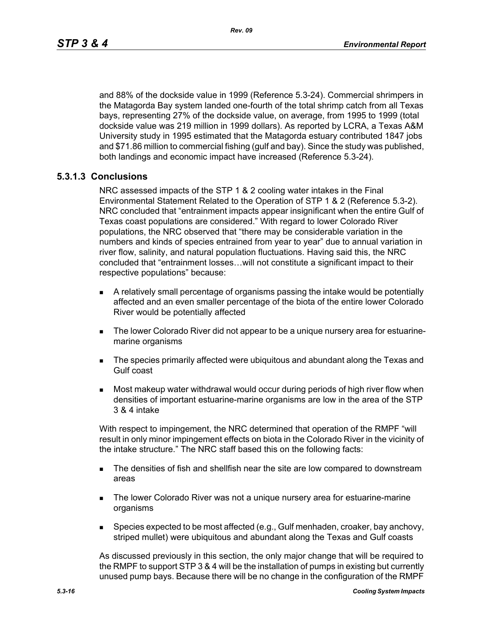and 88% of the dockside value in 1999 (Reference 5.3-24). Commercial shrimpers in the Matagorda Bay system landed one-fourth of the total shrimp catch from all Texas bays, representing 27% of the dockside value, on average, from 1995 to 1999 (total dockside value was 219 million in 1999 dollars). As reported by LCRA, a Texas A&M University study in 1995 estimated that the Matagorda estuary contributed 1847 jobs and \$71.86 million to commercial fishing (gulf and bay). Since the study was published, both landings and economic impact have increased (Reference 5.3-24).

# **5.3.1.3 Conclusions**

NRC assessed impacts of the STP 1 & 2 cooling water intakes in the Final Environmental Statement Related to the Operation of STP 1 & 2 (Reference 5.3-2). NRC concluded that "entrainment impacts appear insignificant when the entire Gulf of Texas coast populations are considered." With regard to lower Colorado River populations, the NRC observed that "there may be considerable variation in the numbers and kinds of species entrained from year to year" due to annual variation in river flow, salinity, and natural population fluctuations. Having said this, the NRC concluded that "entrainment losses…will not constitute a significant impact to their respective populations" because:

- A relatively small percentage of organisms passing the intake would be potentially affected and an even smaller percentage of the biota of the entire lower Colorado River would be potentially affected
- The lower Colorado River did not appear to be a unique nursery area for estuarinemarine organisms
- **The species primarily affected were ubiquitous and abundant along the Texas and** Gulf coast
- Most makeup water withdrawal would occur during periods of high river flow when densities of important estuarine-marine organisms are low in the area of the STP 3 & 4 intake

With respect to impingement, the NRC determined that operation of the RMPF "will result in only minor impingement effects on biota in the Colorado River in the vicinity of the intake structure." The NRC staff based this on the following facts:

- **The densities of fish and shellfish near the site are low compared to downstream** areas
- **The lower Colorado River was not a unique nursery area for estuarine-marine** organisms
- **Species expected to be most affected (e.g., Gulf menhaden, croaker, bay anchovy,** striped mullet) were ubiquitous and abundant along the Texas and Gulf coasts

As discussed previously in this section, the only major change that will be required to the RMPF to support STP 3 & 4 will be the installation of pumps in existing but currently unused pump bays. Because there will be no change in the configuration of the RMPF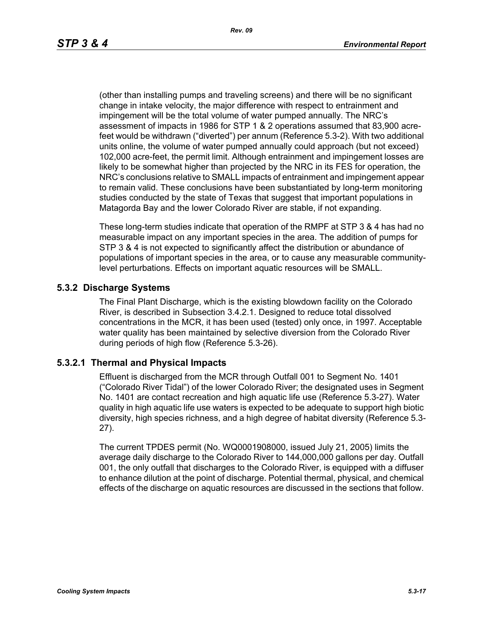(other than installing pumps and traveling screens) and there will be no significant change in intake velocity, the major difference with respect to entrainment and impingement will be the total volume of water pumped annually. The NRC's assessment of impacts in 1986 for STP 1 & 2 operations assumed that 83,900 acrefeet would be withdrawn ("diverted") per annum (Reference 5.3-2). With two additional units online, the volume of water pumped annually could approach (but not exceed) 102,000 acre-feet, the permit limit. Although entrainment and impingement losses are likely to be somewhat higher than projected by the NRC in its FES for operation, the NRC's conclusions relative to SMALL impacts of entrainment and impingement appear to remain valid. These conclusions have been substantiated by long-term monitoring studies conducted by the state of Texas that suggest that important populations in Matagorda Bay and the lower Colorado River are stable, if not expanding.

These long-term studies indicate that operation of the RMPF at STP 3 & 4 has had no measurable impact on any important species in the area. The addition of pumps for STP 3 & 4 is not expected to significantly affect the distribution or abundance of populations of important species in the area, or to cause any measurable communitylevel perturbations. Effects on important aquatic resources will be SMALL.

# **5.3.2 Discharge Systems**

The Final Plant Discharge, which is the existing blowdown facility on the Colorado River, is described in Subsection 3.4.2.1. Designed to reduce total dissolved concentrations in the MCR, it has been used (tested) only once, in 1997. Acceptable water quality has been maintained by selective diversion from the Colorado River during periods of high flow (Reference 5.3-26).

## **5.3.2.1 Thermal and Physical Impacts**

Effluent is discharged from the MCR through Outfall 001 to Segment No. 1401 ("Colorado River Tidal") of the lower Colorado River; the designated uses in Segment No. 1401 are contact recreation and high aquatic life use (Reference 5.3-27). Water quality in high aquatic life use waters is expected to be adequate to support high biotic diversity, high species richness, and a high degree of habitat diversity (Reference 5.3- 27).

The current TPDES permit (No. WQ0001908000, issued July 21, 2005) limits the average daily discharge to the Colorado River to 144,000,000 gallons per day. Outfall 001, the only outfall that discharges to the Colorado River, is equipped with a diffuser to enhance dilution at the point of discharge. Potential thermal, physical, and chemical effects of the discharge on aquatic resources are discussed in the sections that follow.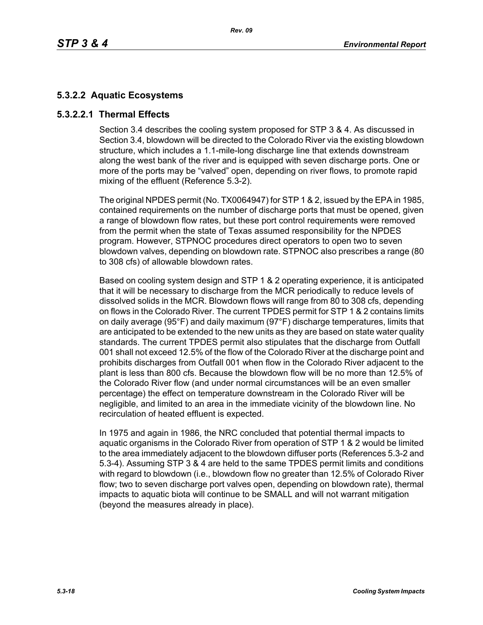# **5.3.2.2 Aquatic Ecosystems**

# **5.3.2.2.1 Thermal Effects**

Section 3.4 describes the cooling system proposed for STP 3 & 4. As discussed in Section 3.4, blowdown will be directed to the Colorado River via the existing blowdown structure, which includes a 1.1-mile-long discharge line that extends downstream along the west bank of the river and is equipped with seven discharge ports. One or more of the ports may be "valved" open, depending on river flows, to promote rapid mixing of the effluent (Reference 5.3-2).

The original NPDES permit (No. TX0064947) for STP 1 & 2, issued by the EPA in 1985, contained requirements on the number of discharge ports that must be opened, given a range of blowdown flow rates, but these port control requirements were removed from the permit when the state of Texas assumed responsibility for the NPDES program. However, STPNOC procedures direct operators to open two to seven blowdown valves, depending on blowdown rate. STPNOC also prescribes a range (80 to 308 cfs) of allowable blowdown rates.

Based on cooling system design and STP 1 & 2 operating experience, it is anticipated that it will be necessary to discharge from the MCR periodically to reduce levels of dissolved solids in the MCR. Blowdown flows will range from 80 to 308 cfs, depending on flows in the Colorado River. The current TPDES permit for STP 1 & 2 contains limits on daily average (95°F) and daily maximum (97°F) discharge temperatures, limits that are anticipated to be extended to the new units as they are based on state water quality standards. The current TPDES permit also stipulates that the discharge from Outfall 001 shall not exceed 12.5% of the flow of the Colorado River at the discharge point and prohibits discharges from Outfall 001 when flow in the Colorado River adjacent to the plant is less than 800 cfs. Because the blowdown flow will be no more than 12.5% of the Colorado River flow (and under normal circumstances will be an even smaller percentage) the effect on temperature downstream in the Colorado River will be negligible, and limited to an area in the immediate vicinity of the blowdown line. No recirculation of heated effluent is expected.

In 1975 and again in 1986, the NRC concluded that potential thermal impacts to aquatic organisms in the Colorado River from operation of STP 1 & 2 would be limited to the area immediately adjacent to the blowdown diffuser ports (References 5.3-2 and 5.3-4). Assuming STP 3 & 4 are held to the same TPDES permit limits and conditions with regard to blowdown (i.e., blowdown flow no greater than 12.5% of Colorado River flow; two to seven discharge port valves open, depending on blowdown rate), thermal impacts to aquatic biota will continue to be SMALL and will not warrant mitigation (beyond the measures already in place).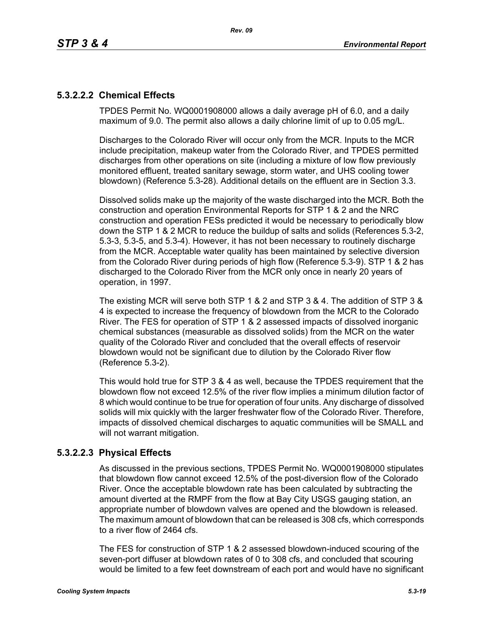# **5.3.2.2.2 Chemical Effects**

TPDES Permit No. WQ0001908000 allows a daily average pH of 6.0, and a daily maximum of 9.0. The permit also allows a daily chlorine limit of up to 0.05 mg/L.

Discharges to the Colorado River will occur only from the MCR. Inputs to the MCR include precipitation, makeup water from the Colorado River, and TPDES permitted discharges from other operations on site (including a mixture of low flow previously monitored effluent, treated sanitary sewage, storm water, and UHS cooling tower blowdown) (Reference 5.3-28). Additional details on the effluent are in Section 3.3.

Dissolved solids make up the majority of the waste discharged into the MCR. Both the construction and operation Environmental Reports for STP 1 & 2 and the NRC construction and operation FESs predicted it would be necessary to periodically blow down the STP 1 & 2 MCR to reduce the buildup of salts and solids (References 5.3-2, 5.3-3, 5.3-5, and 5.3-4). However, it has not been necessary to routinely discharge from the MCR. Acceptable water quality has been maintained by selective diversion from the Colorado River during periods of high flow (Reference 5.3-9). STP 1 & 2 has discharged to the Colorado River from the MCR only once in nearly 20 years of operation, in 1997.

The existing MCR will serve both STP 1 & 2 and STP 3 & 4. The addition of STP 3 & 4 is expected to increase the frequency of blowdown from the MCR to the Colorado River. The FES for operation of STP 1 & 2 assessed impacts of dissolved inorganic chemical substances (measurable as dissolved solids) from the MCR on the water quality of the Colorado River and concluded that the overall effects of reservoir blowdown would not be significant due to dilution by the Colorado River flow (Reference 5.3-2).

This would hold true for STP 3 & 4 as well, because the TPDES requirement that the blowdown flow not exceed 12.5% of the river flow implies a minimum dilution factor of 8 which would continue to be true for operation of four units. Any discharge of dissolved solids will mix quickly with the larger freshwater flow of the Colorado River. Therefore, impacts of dissolved chemical discharges to aquatic communities will be SMALL and will not warrant mitigation.

# **5.3.2.2.3 Physical Effects**

As discussed in the previous sections, TPDES Permit No. WQ0001908000 stipulates that blowdown flow cannot exceed 12.5% of the post-diversion flow of the Colorado River. Once the acceptable blowdown rate has been calculated by subtracting the amount diverted at the RMPF from the flow at Bay City USGS gauging station, an appropriate number of blowdown valves are opened and the blowdown is released. The maximum amount of blowdown that can be released is 308 cfs, which corresponds to a river flow of 2464 cfs.

The FES for construction of STP 1 & 2 assessed blowdown-induced scouring of the seven-port diffuser at blowdown rates of 0 to 308 cfs, and concluded that scouring would be limited to a few feet downstream of each port and would have no significant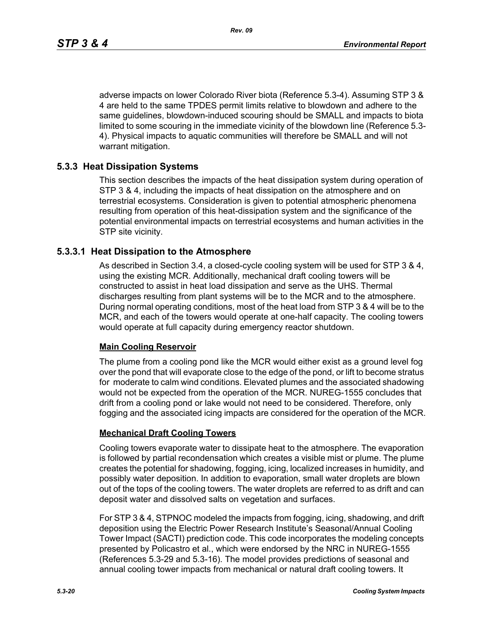adverse impacts on lower Colorado River biota (Reference 5.3-4). Assuming STP 3 & 4 are held to the same TPDES permit limits relative to blowdown and adhere to the same guidelines, blowdown-induced scouring should be SMALL and impacts to biota limited to some scouring in the immediate vicinity of the blowdown line (Reference 5.3- 4). Physical impacts to aquatic communities will therefore be SMALL and will not warrant mitigation.

# **5.3.3 Heat Dissipation Systems**

This section describes the impacts of the heat dissipation system during operation of STP 3 & 4, including the impacts of heat dissipation on the atmosphere and on terrestrial ecosystems. Consideration is given to potential atmospheric phenomena resulting from operation of this heat-dissipation system and the significance of the potential environmental impacts on terrestrial ecosystems and human activities in the STP site vicinity.

## **5.3.3.1 Heat Dissipation to the Atmosphere**

As described in Section 3.4, a closed-cycle cooling system will be used for STP 3 & 4, using the existing MCR. Additionally, mechanical draft cooling towers will be constructed to assist in heat load dissipation and serve as the UHS. Thermal discharges resulting from plant systems will be to the MCR and to the atmosphere. During normal operating conditions, most of the heat load from STP 3 & 4 will be to the MCR, and each of the towers would operate at one-half capacity. The cooling towers would operate at full capacity during emergency reactor shutdown.

## **Main Cooling Reservoir**

The plume from a cooling pond like the MCR would either exist as a ground level fog over the pond that will evaporate close to the edge of the pond, or lift to become stratus for moderate to calm wind conditions. Elevated plumes and the associated shadowing would not be expected from the operation of the MCR. NUREG-1555 concludes that drift from a cooling pond or lake would not need to be considered. Therefore, only fogging and the associated icing impacts are considered for the operation of the MCR.

## **Mechanical Draft Cooling Towers**

Cooling towers evaporate water to dissipate heat to the atmosphere. The evaporation is followed by partial recondensation which creates a visible mist or plume. The plume creates the potential for shadowing, fogging, icing, localized increases in humidity, and possibly water deposition. In addition to evaporation, small water droplets are blown out of the tops of the cooling towers. The water droplets are referred to as drift and can deposit water and dissolved salts on vegetation and surfaces.

For STP 3 & 4, STPNOC modeled the impacts from fogging, icing, shadowing, and drift deposition using the Electric Power Research Institute's Seasonal/Annual Cooling Tower Impact (SACTI) prediction code. This code incorporates the modeling concepts presented by Policastro et al., which were endorsed by the NRC in NUREG-1555 (References 5.3-29 and 5.3-16). The model provides predictions of seasonal and annual cooling tower impacts from mechanical or natural draft cooling towers. It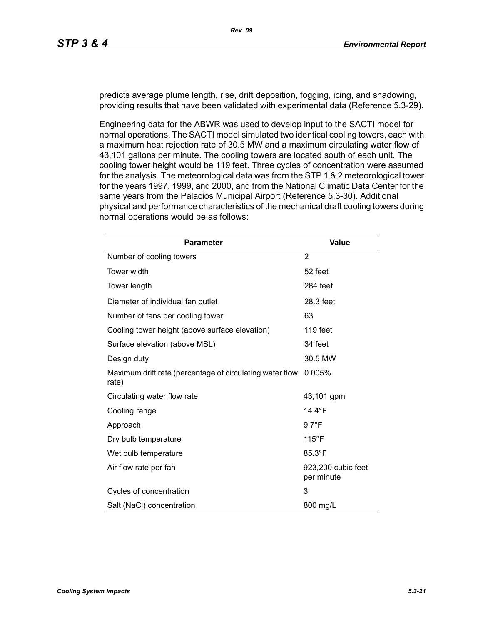predicts average plume length, rise, drift deposition, fogging, icing, and shadowing, providing results that have been validated with experimental data (Reference 5.3-29).

Engineering data for the ABWR was used to develop input to the SACTI model for normal operations. The SACTI model simulated two identical cooling towers, each with a maximum heat rejection rate of 30.5 MW and a maximum circulating water flow of 43,101 gallons per minute. The cooling towers are located south of each unit. The cooling tower height would be 119 feet. Three cycles of concentration were assumed for the analysis. The meteorological data was from the STP 1 & 2 meteorological tower for the years 1997, 1999, and 2000, and from the National Climatic Data Center for the same years from the Palacios Municipal Airport (Reference 5.3-30). Additional physical and performance characteristics of the mechanical draft cooling towers during normal operations would be as follows:

| <b>Parameter</b>                                                  | <b>Value</b>                     |
|-------------------------------------------------------------------|----------------------------------|
| Number of cooling towers                                          | 2                                |
| Tower width                                                       | 52 feet                          |
| Tower length                                                      | 284 feet                         |
| Diameter of individual fan outlet                                 | 28.3 feet                        |
| Number of fans per cooling tower                                  | 63                               |
| Cooling tower height (above surface elevation)                    | 119 feet                         |
| Surface elevation (above MSL)                                     | 34 feet                          |
| Design duty                                                       | 30.5 MW                          |
| Maximum drift rate (percentage of circulating water flow<br>rate) | 0.005%                           |
| Circulating water flow rate                                       | 43,101 gpm                       |
| Cooling range                                                     | 14.4 $\degree$ F                 |
| Approach                                                          | $9.7^{\circ}F$                   |
| Dry bulb temperature                                              | $115^{\circ}$ F                  |
| Wet bulb temperature                                              | 85.3°F                           |
| Air flow rate per fan                                             | 923,200 cubic feet<br>per minute |
| Cycles of concentration                                           | 3                                |
| Salt (NaCl) concentration                                         | 800 mg/L                         |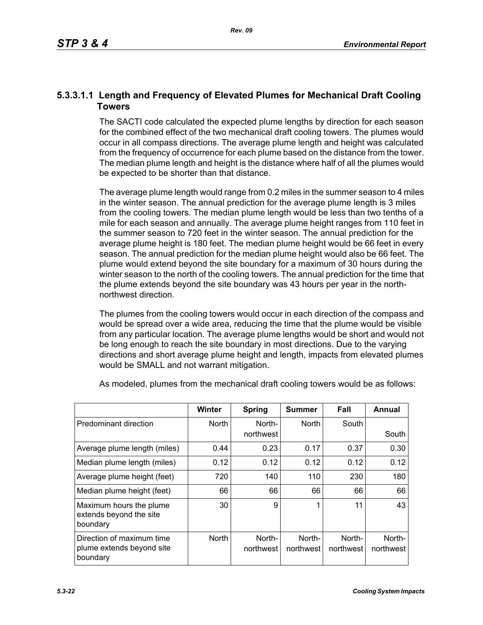# **5.3.3.1.1 Length and Frequency of Elevated Plumes for Mechanical Draft Cooling Towers**

The SACTI code calculated the expected plume lengths by direction for each season for the combined effect of the two mechanical draft cooling towers. The plumes would occur in all compass directions. The average plume length and height was calculated from the frequency of occurrence for each plume based on the distance from the tower. The median plume length and height is the distance where half of all the plumes would be expected to be shorter than that distance.

The average plume length would range from 0.2 miles in the summer season to 4 miles in the winter season. The annual prediction for the average plume length is 3 miles from the cooling towers. The median plume length would be less than two tenths of a mile for each season and annually. The average plume height ranges from 110 feet in the summer season to 720 feet in the winter season. The annual prediction for the average plume height is 180 feet. The median plume height would be 66 feet in every season. The annual prediction for the median plume height would also be 66 feet. The plume would extend beyond the site boundary for a maximum of 30 hours during the winter season to the north of the cooling towers. The annual prediction for the time that the plume extends beyond the site boundary was 43 hours per year in the northnorthwest direction.

The plumes from the cooling towers would occur in each direction of the compass and would be spread over a wide area, reducing the time that the plume would be visible from any particular location. The average plume lengths would be short and would not be long enough to reach the site boundary in most directions. Due to the varying directions and short average plume height and length, impacts from elevated plumes would be SMALL and not warrant mitigation.

|                                                                    | <b>Winter</b> | <b>Spring</b>       | Summer              | Fall                | Annual              |
|--------------------------------------------------------------------|---------------|---------------------|---------------------|---------------------|---------------------|
| Predominant direction                                              | <b>North</b>  | North-<br>northwest | <b>North</b>        | South               | South               |
| Average plume length (miles)                                       | 0.44          | 0.23                | 0.17                | 0.37                | 0.30                |
| Median plume length (miles)                                        | 0.12          | 0.12                | 0.12                | 0.12                | 0.12                |
| Average plume height (feet)                                        | 720           | 140                 | 110                 | 230                 | 180                 |
| Median plume height (feet)                                         | 66            | 66                  | 66                  | 66                  | 66                  |
| Maximum hours the plume<br>extends beyond the site<br>boundary     | 30            | 9                   | 1                   | 11                  | 43                  |
| Direction of maximum time<br>plume extends beyond site<br>boundary | <b>North</b>  | North-<br>northwest | North-<br>northwest | North-<br>northwest | North-<br>northwest |

As modeled, plumes from the mechanical draft cooling towers would be as follows: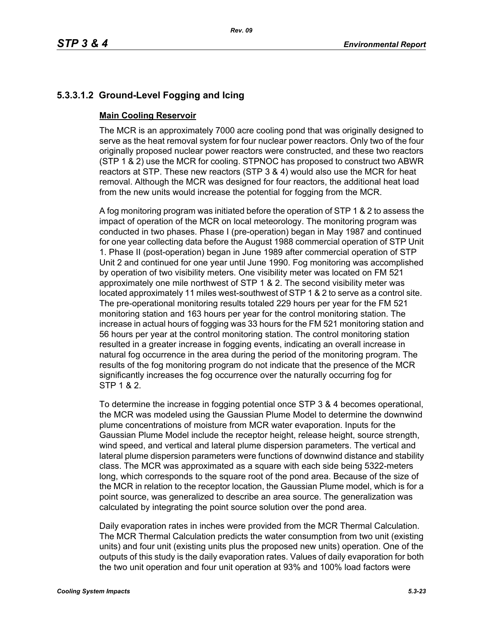# **5.3.3.1.2 Ground-Level Fogging and Icing**

# **Main Cooling Reservoir**

The MCR is an approximately 7000 acre cooling pond that was originally designed to serve as the heat removal system for four nuclear power reactors. Only two of the four originally proposed nuclear power reactors were constructed, and these two reactors (STP 1 & 2) use the MCR for cooling. STPNOC has proposed to construct two ABWR reactors at STP. These new reactors (STP 3 & 4) would also use the MCR for heat removal. Although the MCR was designed for four reactors, the additional heat load from the new units would increase the potential for fogging from the MCR.

A fog monitoring program was initiated before the operation of STP 1 & 2 to assess the impact of operation of the MCR on local meteorology. The monitoring program was conducted in two phases. Phase I (pre-operation) began in May 1987 and continued for one year collecting data before the August 1988 commercial operation of STP Unit 1. Phase II (post-operation) began in June 1989 after commercial operation of STP Unit 2 and continued for one year until June 1990. Fog monitoring was accomplished by operation of two visibility meters. One visibility meter was located on FM 521 approximately one mile northwest of STP 1 & 2. The second visibility meter was located approximately 11 miles west-southwest of STP 1 & 2 to serve as a control site. The pre-operational monitoring results totaled 229 hours per year for the FM 521 monitoring station and 163 hours per year for the control monitoring station. The increase in actual hours of fogging was 33 hours for the FM 521 monitoring station and 56 hours per year at the control monitoring station. The control monitoring station resulted in a greater increase in fogging events, indicating an overall increase in natural fog occurrence in the area during the period of the monitoring program. The results of the fog monitoring program do not indicate that the presence of the MCR significantly increases the fog occurrence over the naturally occurring fog for STP 1 & 2.

To determine the increase in fogging potential once STP 3 & 4 becomes operational, the MCR was modeled using the Gaussian Plume Model to determine the downwind plume concentrations of moisture from MCR water evaporation. Inputs for the Gaussian Plume Model include the receptor height, release height, source strength, wind speed, and vertical and lateral plume dispersion parameters. The vertical and lateral plume dispersion parameters were functions of downwind distance and stability class. The MCR was approximated as a square with each side being 5322-meters long, which corresponds to the square root of the pond area. Because of the size of the MCR in relation to the receptor location, the Gaussian Plume model, which is for a point source, was generalized to describe an area source. The generalization was calculated by integrating the point source solution over the pond area.

Daily evaporation rates in inches were provided from the MCR Thermal Calculation. The MCR Thermal Calculation predicts the water consumption from two unit (existing units) and four unit (existing units plus the proposed new units) operation. One of the outputs of this study is the daily evaporation rates. Values of daily evaporation for both the two unit operation and four unit operation at 93% and 100% load factors were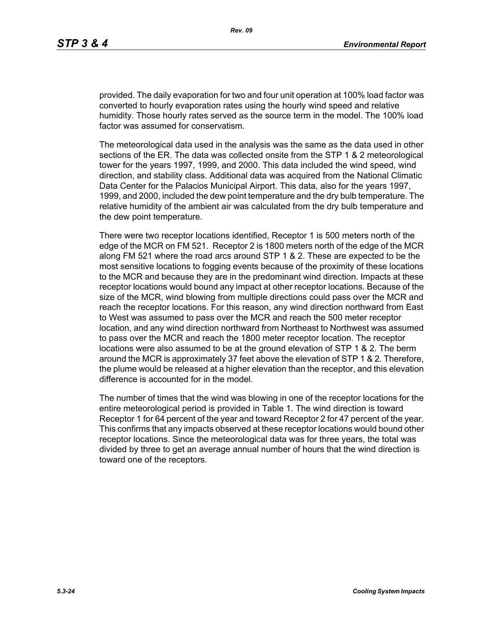provided. The daily evaporation for two and four unit operation at 100% load factor was converted to hourly evaporation rates using the hourly wind speed and relative humidity. Those hourly rates served as the source term in the model. The 100% load factor was assumed for conservatism.

The meteorological data used in the analysis was the same as the data used in other sections of the ER. The data was collected onsite from the STP 1 & 2 meteorological tower for the years 1997, 1999, and 2000. This data included the wind speed, wind direction, and stability class. Additional data was acquired from the National Climatic Data Center for the Palacios Municipal Airport. This data, also for the years 1997, 1999, and 2000, included the dew point temperature and the dry bulb temperature. The relative humidity of the ambient air was calculated from the dry bulb temperature and the dew point temperature.

There were two receptor locations identified, Receptor 1 is 500 meters north of the edge of the MCR on FM 521. Receptor 2 is 1800 meters north of the edge of the MCR along FM 521 where the road arcs around STP 1 & 2. These are expected to be the most sensitive locations to fogging events because of the proximity of these locations to the MCR and because they are in the predominant wind direction. Impacts at these receptor locations would bound any impact at other receptor locations. Because of the size of the MCR, wind blowing from multiple directions could pass over the MCR and reach the receptor locations. For this reason, any wind direction northward from East to West was assumed to pass over the MCR and reach the 500 meter receptor location, and any wind direction northward from Northeast to Northwest was assumed to pass over the MCR and reach the 1800 meter receptor location. The receptor locations were also assumed to be at the ground elevation of STP 1 & 2. The berm around the MCR is approximately 37 feet above the elevation of STP 1 & 2. Therefore, the plume would be released at a higher elevation than the receptor, and this elevation difference is accounted for in the model.

The number of times that the wind was blowing in one of the receptor locations for the entire meteorological period is provided in Table 1. The wind direction is toward Receptor 1 for 64 percent of the year and toward Receptor 2 for 47 percent of the year. This confirms that any impacts observed at these receptor locations would bound other receptor locations. Since the meteorological data was for three years, the total was divided by three to get an average annual number of hours that the wind direction is toward one of the receptors.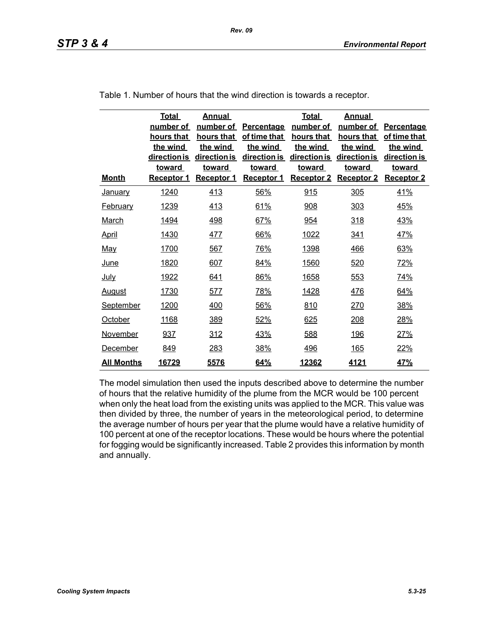| <b>Month</b>      | <b>Total</b><br>number of<br>hours that<br>the wind<br>direction is<br><b>toward</b><br>Receptor 1 | <b>Annual</b><br>number of<br>hours that<br>the wind<br>direction is<br>toward<br><b>Receptor 1</b> | Percentage<br>of time that<br>the wind<br>direction is<br><b>toward</b><br><b>Receptor 1</b> | <b>Total</b><br>number of<br>hours that<br>the wind<br>direction is<br><b>toward</b><br><b>Receptor 2</b> | <b>Annual</b><br>number of<br>hours that<br>the wind<br>direction is<br>toward<br><b>Receptor 2</b> | Percentage<br>of time that<br>the wind<br>direction is<br><b>toward</b><br><b>Receptor 2</b> |
|-------------------|----------------------------------------------------------------------------------------------------|-----------------------------------------------------------------------------------------------------|----------------------------------------------------------------------------------------------|-----------------------------------------------------------------------------------------------------------|-----------------------------------------------------------------------------------------------------|----------------------------------------------------------------------------------------------|
| <b>January</b>    | 1240                                                                                               | 413                                                                                                 | 56%                                                                                          | 915                                                                                                       | 305                                                                                                 | 41%                                                                                          |
| <b>February</b>   | 1239                                                                                               | 413                                                                                                 | 61%                                                                                          | 908                                                                                                       | 303                                                                                                 | 45%                                                                                          |
| <b>March</b>      | <u>1494</u>                                                                                        | <u>498</u>                                                                                          | 67%                                                                                          | 954                                                                                                       | 318                                                                                                 | <u>43%</u>                                                                                   |
| <b>April</b>      | 1430                                                                                               | <u>477</u>                                                                                          | 66%                                                                                          | 1022                                                                                                      | <u>341</u>                                                                                          | <u>47%</u>                                                                                   |
| <u>May</u>        | 1700                                                                                               | 567                                                                                                 | 76%                                                                                          | 1398                                                                                                      | 466                                                                                                 | 63%                                                                                          |
| <u>June</u>       | 1820                                                                                               | 607                                                                                                 | 84%                                                                                          | 1560                                                                                                      | 520                                                                                                 | 72%                                                                                          |
| <u>July</u>       | 1922                                                                                               | 641                                                                                                 | 86%                                                                                          | 1658                                                                                                      | 553                                                                                                 | 74%                                                                                          |
| <b>August</b>     | 1730                                                                                               | 577                                                                                                 | 78%                                                                                          | 1428                                                                                                      | 476                                                                                                 | 64%                                                                                          |
| <b>September</b>  | 1200                                                                                               | 400                                                                                                 | 56%                                                                                          | 810                                                                                                       | 270                                                                                                 | 38%                                                                                          |
| October           | 1168                                                                                               | 389                                                                                                 | 52%                                                                                          | 625                                                                                                       | 208                                                                                                 | 28%                                                                                          |
| November          | 937                                                                                                | 312                                                                                                 | 43%                                                                                          | 588                                                                                                       | <u>196</u>                                                                                          | 27%                                                                                          |
| December          | 849                                                                                                | 283                                                                                                 | 38%                                                                                          | <u>496</u>                                                                                                | <u>165</u>                                                                                          | 22%                                                                                          |
| <u>All Months</u> | 16729                                                                                              | 5576                                                                                                | 64%                                                                                          | 12362                                                                                                     | 4121                                                                                                | 47%                                                                                          |

Table 1. Number of hours that the wind direction is towards a receptor.

The model simulation then used the inputs described above to determine the number of hours that the relative humidity of the plume from the MCR would be 100 percent when only the heat load from the existing units was applied to the MCR. This value was then divided by three, the number of years in the meteorological period, to determine the average number of hours per year that the plume would have a relative humidity of 100 percent at one of the receptor locations. These would be hours where the potential for fogging would be significantly increased. Table 2 provides this information by month and annually.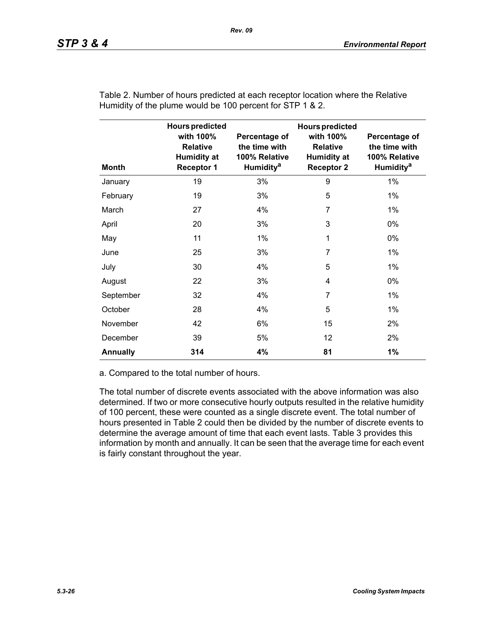| <b>Month</b>    | <b>Hours predicted</b><br>with 100%<br><b>Relative</b><br><b>Humidity at</b><br><b>Receptor 1</b> | Percentage of<br>the time with<br>100% Relative<br>Humidity <sup>a</sup> | <b>Hours predicted</b><br>with 100%<br><b>Relative</b><br><b>Humidity at</b><br><b>Receptor 2</b> | Percentage of<br>the time with<br>100% Relative<br>Humidity <sup>a</sup> |
|-----------------|---------------------------------------------------------------------------------------------------|--------------------------------------------------------------------------|---------------------------------------------------------------------------------------------------|--------------------------------------------------------------------------|
| January         | 19                                                                                                | 3%                                                                       | 9                                                                                                 | 1%                                                                       |
| February        | 19                                                                                                | 3%                                                                       | 5                                                                                                 | $1\%$                                                                    |
| March           | 27                                                                                                | 4%                                                                       | 7                                                                                                 | $1\%$                                                                    |
| April           | 20                                                                                                | 3%                                                                       | 3                                                                                                 | $0\%$                                                                    |
| May             | 11                                                                                                | 1%                                                                       | 1                                                                                                 | 0%                                                                       |
| June            | 25                                                                                                | 3%                                                                       | $\overline{7}$                                                                                    | $1\%$                                                                    |
| July            | 30                                                                                                | 4%                                                                       | 5                                                                                                 | $1\%$                                                                    |
| August          | 22                                                                                                | 3%                                                                       | 4                                                                                                 | 0%                                                                       |
| September       | 32                                                                                                | 4%                                                                       | 7                                                                                                 | $1\%$                                                                    |
| October         | 28                                                                                                | 4%                                                                       | 5                                                                                                 | 1%                                                                       |
| November        | 42                                                                                                | 6%                                                                       | 15                                                                                                | 2%                                                                       |
| December        | 39                                                                                                | 5%                                                                       | 12                                                                                                | 2%                                                                       |
| <b>Annually</b> | 314                                                                                               | 4%                                                                       | 81                                                                                                | 1%                                                                       |

Table 2. Number of hours predicted at each receptor location where the Relative Humidity of the plume would be 100 percent for STP 1 & 2.

a. Compared to the total number of hours.

The total number of discrete events associated with the above information was also determined. If two or more consecutive hourly outputs resulted in the relative humidity of 100 percent, these were counted as a single discrete event. The total number of hours presented in Table 2 could then be divided by the number of discrete events to determine the average amount of time that each event lasts. Table 3 provides this information by month and annually. It can be seen that the average time for each event is fairly constant throughout the year.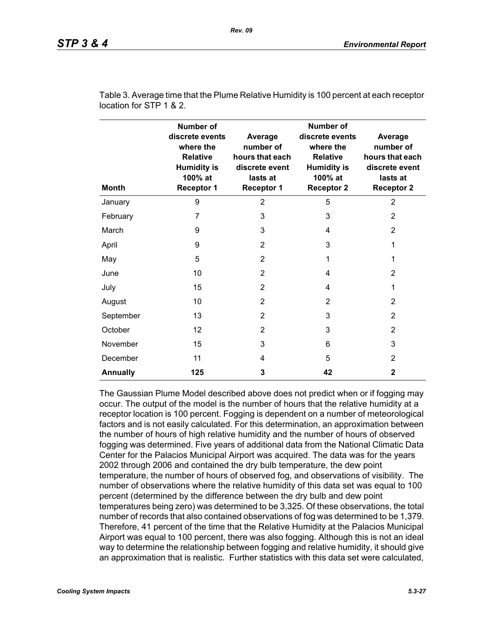| <b>Month</b>    | <b>Number of</b><br>discrete events<br>where the<br><b>Relative</b><br><b>Humidity is</b><br>100% at<br><b>Receptor 1</b> | Average<br>number of<br>hours that each<br>discrete event<br>lasts at<br><b>Receptor 1</b> | <b>Number of</b><br>discrete events<br>where the<br><b>Relative</b><br><b>Humidity is</b><br>100% at<br><b>Receptor 2</b> | Average<br>number of<br>hours that each<br>discrete event<br>lasts at<br><b>Receptor 2</b> |
|-----------------|---------------------------------------------------------------------------------------------------------------------------|--------------------------------------------------------------------------------------------|---------------------------------------------------------------------------------------------------------------------------|--------------------------------------------------------------------------------------------|
| January         | 9                                                                                                                         | $\overline{2}$                                                                             | 5                                                                                                                         | $\overline{2}$                                                                             |
| February        | 7                                                                                                                         | 3                                                                                          | 3                                                                                                                         | 2                                                                                          |
| March           | 9                                                                                                                         | 3                                                                                          | 4                                                                                                                         | $\overline{2}$                                                                             |
| April           | 9                                                                                                                         | $\overline{2}$                                                                             | 3                                                                                                                         | 1                                                                                          |
| May             | 5                                                                                                                         | $\overline{2}$                                                                             | 1                                                                                                                         | 1                                                                                          |
| June            | 10                                                                                                                        | $\overline{2}$                                                                             | 4                                                                                                                         | 2                                                                                          |
| July            | 15                                                                                                                        | 2                                                                                          | 4                                                                                                                         | 1                                                                                          |
| August          | 10                                                                                                                        | $\overline{2}$                                                                             | $\overline{2}$                                                                                                            | 2                                                                                          |
| September       | 13                                                                                                                        | 2                                                                                          | 3                                                                                                                         | 2                                                                                          |
| October         | 12                                                                                                                        | 2                                                                                          | 3                                                                                                                         | $\overline{2}$                                                                             |
| November        | 15                                                                                                                        | 3                                                                                          | 6                                                                                                                         | 3                                                                                          |
| December        | 11                                                                                                                        | 4                                                                                          | 5                                                                                                                         | 2                                                                                          |
| <b>Annually</b> | 125                                                                                                                       | 3                                                                                          | 42                                                                                                                        | 2                                                                                          |

Table 3. Average time that the Plume Relative Humidity is 100 percent at each receptor location for STP 1 & 2.

The Gaussian Plume Model described above does not predict when or if fogging may occur. The output of the model is the number of hours that the relative humidity at a receptor location is 100 percent. Fogging is dependent on a number of meteorological factors and is not easily calculated. For this determination, an approximation between the number of hours of high relative humidity and the number of hours of observed fogging was determined. Five years of additional data from the National Climatic Data Center for the Palacios Municipal Airport was acquired. The data was for the years 2002 through 2006 and contained the dry bulb temperature, the dew point temperature, the number of hours of observed fog, and observations of visibility. The number of observations where the relative humidity of this data set was equal to 100 percent (determined by the difference between the dry bulb and dew point temperatures being zero) was determined to be 3,325. Of these observations, the total number of records that also contained observations of fog was determined to be 1,379. Therefore, 41 percent of the time that the Relative Humidity at the Palacios Municipal Airport was equal to 100 percent, there was also fogging. Although this is not an ideal way to determine the relationship between fogging and relative humidity, it should give an approximation that is realistic. Further statistics with this data set were calculated,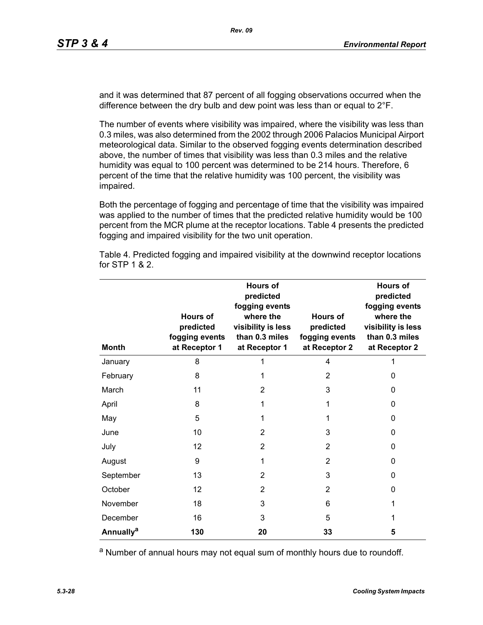and it was determined that 87 percent of all fogging observations occurred when the difference between the dry bulb and dew point was less than or equal to 2°F.

The number of events where visibility was impaired, where the visibility was less than 0.3 miles, was also determined from the 2002 through 2006 Palacios Municipal Airport meteorological data. Similar to the observed fogging events determination described above, the number of times that visibility was less than 0.3 miles and the relative humidity was equal to 100 percent was determined to be 214 hours. Therefore, 6 percent of the time that the relative humidity was 100 percent, the visibility was impaired.

Both the percentage of fogging and percentage of time that the visibility was impaired was applied to the number of times that the predicted relative humidity would be 100 percent from the MCR plume at the receptor locations. Table 4 presents the predicted fogging and impaired visibility for the two unit operation.

| <b>Month</b>          | <b>Hours of</b><br>predicted<br>fogging events<br>at Receptor 1 | <b>Hours of</b><br>predicted<br>fogging events<br>where the<br>visibility is less<br>than 0.3 miles<br>at Receptor 1 | Hours of<br>predicted<br>fogging events<br>at Receptor 2 | <b>Hours of</b><br>predicted<br>fogging events<br>where the<br>visibility is less<br>than 0.3 miles<br>at Receptor 2 |
|-----------------------|-----------------------------------------------------------------|----------------------------------------------------------------------------------------------------------------------|----------------------------------------------------------|----------------------------------------------------------------------------------------------------------------------|
| January               | 8                                                               | 1                                                                                                                    | 4                                                        |                                                                                                                      |
| February              | 8                                                               | 1                                                                                                                    | $\overline{2}$                                           | 0                                                                                                                    |
| March                 | 11                                                              | 2                                                                                                                    | 3                                                        | 0                                                                                                                    |
| April                 | 8                                                               | 1                                                                                                                    | 1                                                        | 0                                                                                                                    |
| May                   | 5                                                               | 1                                                                                                                    | 1                                                        | 0                                                                                                                    |
| June                  | 10                                                              | $\overline{2}$                                                                                                       | 3                                                        | 0                                                                                                                    |
| July                  | 12                                                              | $\overline{2}$                                                                                                       | 2                                                        | 0                                                                                                                    |
| August                | 9                                                               | 1                                                                                                                    | $\overline{2}$                                           | 0                                                                                                                    |
| September             | 13                                                              | $\overline{2}$                                                                                                       | 3                                                        | 0                                                                                                                    |
| October               | 12                                                              | 2                                                                                                                    | 2                                                        | 0                                                                                                                    |
| November              | 18                                                              | 3                                                                                                                    | 6                                                        | 1                                                                                                                    |
| December              | 16                                                              | 3                                                                                                                    | 5                                                        | 1                                                                                                                    |
| Annually <sup>a</sup> | 130                                                             | 20                                                                                                                   | 33                                                       | 5                                                                                                                    |

Table 4. Predicted fogging and impaired visibility at the downwind receptor locations for STP 1 & 2.

a Number of annual hours may not equal sum of monthly hours due to roundoff.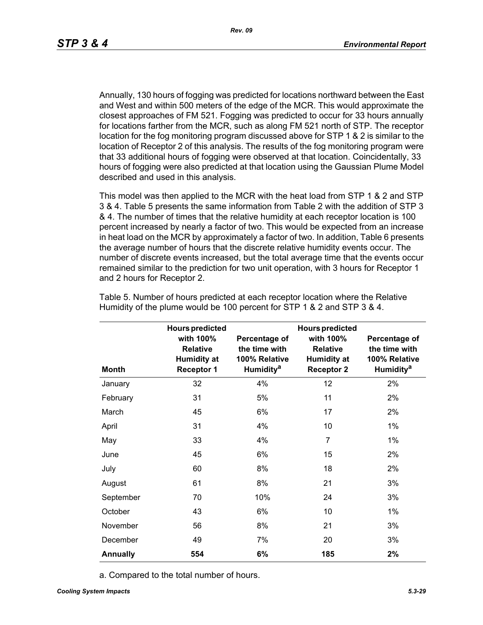Annually, 130 hours of fogging was predicted for locations northward between the East and West and within 500 meters of the edge of the MCR. This would approximate the closest approaches of FM 521. Fogging was predicted to occur for 33 hours annually for locations farther from the MCR, such as along FM 521 north of STP. The receptor location for the fog monitoring program discussed above for STP 1 & 2 is similar to the location of Receptor 2 of this analysis. The results of the fog monitoring program were that 33 additional hours of fogging were observed at that location. Coincidentally, 33 hours of fogging were also predicted at that location using the Gaussian Plume Model described and used in this analysis.

This model was then applied to the MCR with the heat load from STP 1 & 2 and STP 3 & 4. Table 5 presents the same information from Table 2 with the addition of STP 3 & 4. The number of times that the relative humidity at each receptor location is 100 percent increased by nearly a factor of two. This would be expected from an increase in heat load on the MCR by approximately a factor of two. In addition, Table 6 presents the average number of hours that the discrete relative humidity events occur. The number of discrete events increased, but the total average time that the events occur remained similar to the prediction for two unit operation, with 3 hours for Receptor 1 and 2 hours for Receptor 2.

|                 | <b>Hours predicted</b>                                                  |                                                                          | <b>Hours predicted</b>                                                  |                                                                                |
|-----------------|-------------------------------------------------------------------------|--------------------------------------------------------------------------|-------------------------------------------------------------------------|--------------------------------------------------------------------------------|
| <b>Month</b>    | with 100%<br><b>Relative</b><br><b>Humidity at</b><br><b>Receptor 1</b> | Percentage of<br>the time with<br>100% Relative<br>Humidity <sup>a</sup> | with 100%<br><b>Relative</b><br><b>Humidity at</b><br><b>Receptor 2</b> | Percentage of<br>the time with<br>100% Relative<br><b>Humidity<sup>a</sup></b> |
| January         | 32                                                                      | 4%                                                                       | 12                                                                      | 2%                                                                             |
| February        | 31                                                                      | 5%                                                                       | 11                                                                      | 2%                                                                             |
| March           | 45                                                                      | 6%                                                                       | 17                                                                      | 2%                                                                             |
| April           | 31                                                                      | 4%                                                                       | 10                                                                      | $1\%$                                                                          |
| May             | 33                                                                      | 4%                                                                       | $\overline{7}$                                                          | $1\%$                                                                          |
| June            | 45                                                                      | 6%                                                                       | 15                                                                      | 2%                                                                             |
| July            | 60                                                                      | 8%                                                                       | 18                                                                      | 2%                                                                             |
| August          | 61                                                                      | 8%                                                                       | 21                                                                      | 3%                                                                             |
| September       | 70                                                                      | 10%                                                                      | 24                                                                      | 3%                                                                             |
| October         | 43                                                                      | 6%                                                                       | 10                                                                      | $1\%$                                                                          |
| November        | 56                                                                      | 8%                                                                       | 21                                                                      | 3%                                                                             |
| December        | 49                                                                      | 7%                                                                       | 20                                                                      | 3%                                                                             |
| <b>Annually</b> | 554                                                                     | 6%                                                                       | 185                                                                     | 2%                                                                             |

Table 5. Number of hours predicted at each receptor location where the Relative Humidity of the plume would be 100 percent for STP 1 & 2 and STP 3 & 4.

a. Compared to the total number of hours.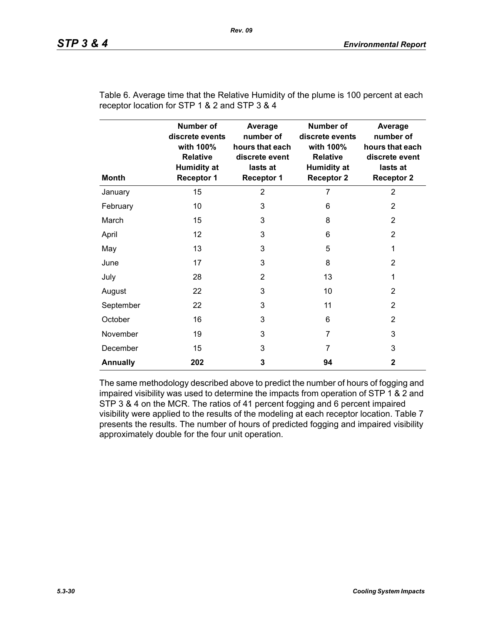| <b>Month</b>    | <b>Number of</b><br>discrete events<br>with 100%<br><b>Relative</b><br><b>Humidity at</b><br><b>Receptor 1</b> | Average<br>number of<br>hours that each<br>discrete event<br>lasts at<br><b>Receptor 1</b> | <b>Number of</b><br>discrete events<br>with 100%<br><b>Relative</b><br><b>Humidity at</b><br><b>Receptor 2</b> | Average<br>number of<br>hours that each<br>discrete event<br>lasts at<br><b>Receptor 2</b> |
|-----------------|----------------------------------------------------------------------------------------------------------------|--------------------------------------------------------------------------------------------|----------------------------------------------------------------------------------------------------------------|--------------------------------------------------------------------------------------------|
| January         | 15                                                                                                             | $\overline{2}$                                                                             | 7                                                                                                              | $\overline{2}$                                                                             |
| February        | 10                                                                                                             | 3                                                                                          | 6                                                                                                              | 2                                                                                          |
| March           | 15                                                                                                             | 3                                                                                          | 8                                                                                                              | 2                                                                                          |
| April           | 12                                                                                                             | 3                                                                                          | 6                                                                                                              | 2                                                                                          |
| May             | 13                                                                                                             | 3                                                                                          | 5                                                                                                              | 1                                                                                          |
| June            | 17                                                                                                             | 3                                                                                          | 8                                                                                                              | $\overline{2}$                                                                             |
| July            | 28                                                                                                             | $\overline{2}$                                                                             | 13                                                                                                             | 1                                                                                          |
| August          | 22                                                                                                             | 3                                                                                          | 10                                                                                                             | 2                                                                                          |
| September       | 22                                                                                                             | 3                                                                                          | 11                                                                                                             | $\overline{2}$                                                                             |
| October         | 16                                                                                                             | 3                                                                                          | 6                                                                                                              | 2                                                                                          |
| November        | 19                                                                                                             | 3                                                                                          | $\overline{7}$                                                                                                 | 3                                                                                          |
| December        | 15                                                                                                             | 3                                                                                          | 7                                                                                                              | 3                                                                                          |
| <b>Annually</b> | 202                                                                                                            | 3                                                                                          | 94                                                                                                             | $\mathbf{2}$                                                                               |

Table 6. Average time that the Relative Humidity of the plume is 100 percent at each receptor location for STP 1 & 2 and STP 3 & 4

The same methodology described above to predict the number of hours of fogging and impaired visibility was used to determine the impacts from operation of STP 1 & 2 and STP 3 & 4 on the MCR. The ratios of 41 percent fogging and 6 percent impaired visibility were applied to the results of the modeling at each receptor location. Table 7 presents the results. The number of hours of predicted fogging and impaired visibility approximately double for the four unit operation.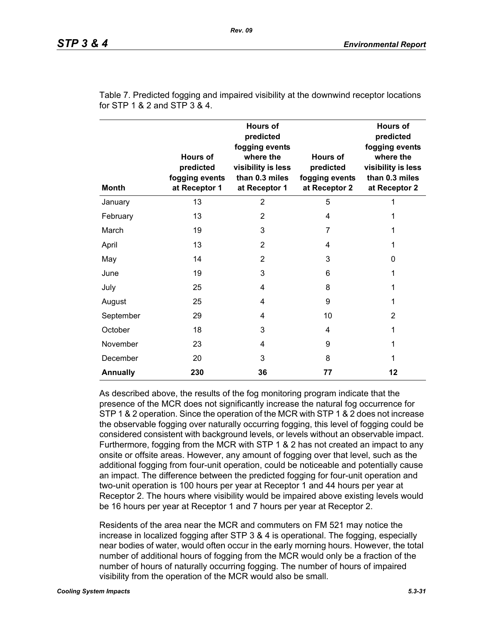| <b>Month</b>    | <b>Hours of</b><br>predicted<br>fogging events<br>at Receptor 1 | <b>Hours of</b><br>predicted<br>fogging events<br>where the<br>visibility is less<br>than 0.3 miles<br>at Receptor 1 | Hours of<br>predicted<br>fogging events<br>at Receptor 2 | <b>Hours of</b><br>predicted<br>fogging events<br>where the<br>visibility is less<br>than 0.3 miles<br>at Receptor 2 |
|-----------------|-----------------------------------------------------------------|----------------------------------------------------------------------------------------------------------------------|----------------------------------------------------------|----------------------------------------------------------------------------------------------------------------------|
| January         | 13                                                              | $\overline{2}$                                                                                                       | 5                                                        | 1                                                                                                                    |
| February        | 13                                                              | $\overline{2}$                                                                                                       | 4                                                        | 1                                                                                                                    |
| March           | 19                                                              | 3                                                                                                                    | $\overline{7}$                                           | 1                                                                                                                    |
| April           | 13                                                              | $\overline{2}$                                                                                                       | 4                                                        | 1                                                                                                                    |
| May             | 14                                                              | $\overline{2}$                                                                                                       | 3                                                        | 0                                                                                                                    |
| June            | 19                                                              | 3                                                                                                                    | 6                                                        | 1                                                                                                                    |
| July            | 25                                                              | 4                                                                                                                    | 8                                                        | 1                                                                                                                    |
| August          | 25                                                              | 4                                                                                                                    | 9                                                        | 1                                                                                                                    |
| September       | 29                                                              | 4                                                                                                                    | 10                                                       | 2                                                                                                                    |
| October         | 18                                                              | 3                                                                                                                    | 4                                                        | 1                                                                                                                    |
| November        | 23                                                              | 4                                                                                                                    | 9                                                        | 1                                                                                                                    |
| December        | 20                                                              | 3                                                                                                                    | 8                                                        | 1                                                                                                                    |
| <b>Annually</b> | 230                                                             | 36                                                                                                                   | 77                                                       | 12                                                                                                                   |

Table 7. Predicted fogging and impaired visibility at the downwind receptor locations for STP 1 & 2 and STP 3 & 4.

As described above, the results of the fog monitoring program indicate that the presence of the MCR does not significantly increase the natural fog occurrence for STP 1 & 2 operation. Since the operation of the MCR with STP 1 & 2 does not increase the observable fogging over naturally occurring fogging, this level of fogging could be considered consistent with background levels, or levels without an observable impact. Furthermore, fogging from the MCR with STP 1 & 2 has not created an impact to any onsite or offsite areas. However, any amount of fogging over that level, such as the additional fogging from four-unit operation, could be noticeable and potentially cause an impact. The difference between the predicted fogging for four-unit operation and two-unit operation is 100 hours per year at Receptor 1 and 44 hours per year at Receptor 2. The hours where visibility would be impaired above existing levels would be 16 hours per year at Receptor 1 and 7 hours per year at Receptor 2.

Residents of the area near the MCR and commuters on FM 521 may notice the increase in localized fogging after STP 3 & 4 is operational. The fogging, especially near bodies of water, would often occur in the early morning hours. However, the total number of additional hours of fogging from the MCR would only be a fraction of the number of hours of naturally occurring fogging. The number of hours of impaired visibility from the operation of the MCR would also be small.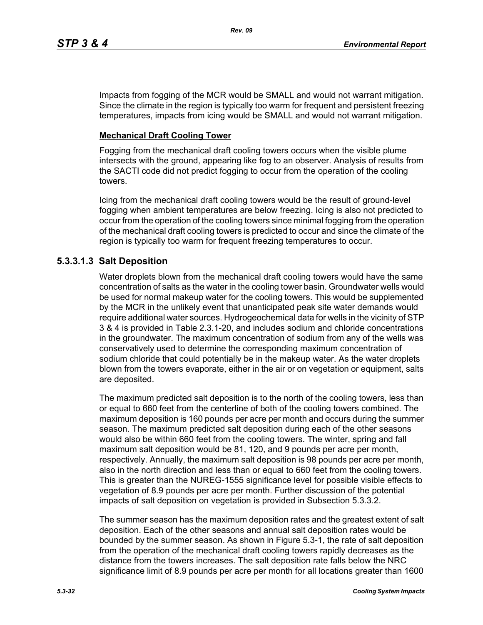Impacts from fogging of the MCR would be SMALL and would not warrant mitigation. Since the climate in the region is typically too warm for frequent and persistent freezing temperatures, impacts from icing would be SMALL and would not warrant mitigation.

# **Mechanical Draft Cooling Tower**

Fogging from the mechanical draft cooling towers occurs when the visible plume intersects with the ground, appearing like fog to an observer. Analysis of results from the SACTI code did not predict fogging to occur from the operation of the cooling towers.

Icing from the mechanical draft cooling towers would be the result of ground-level fogging when ambient temperatures are below freezing. Icing is also not predicted to occur from the operation of the cooling towers since minimal fogging from the operation of the mechanical draft cooling towers is predicted to occur and since the climate of the region is typically too warm for frequent freezing temperatures to occur.

# **5.3.3.1.3 Salt Deposition**

Water droplets blown from the mechanical draft cooling towers would have the same concentration of salts as the water in the cooling tower basin. Groundwater wells would be used for normal makeup water for the cooling towers. This would be supplemented by the MCR in the unlikely event that unanticipated peak site water demands would require additional water sources. Hydrogeochemical data for wells in the vicinity of STP 3 & 4 is provided in Table 2.3.1-20, and includes sodium and chloride concentrations in the groundwater. The maximum concentration of sodium from any of the wells was conservatively used to determine the corresponding maximum concentration of sodium chloride that could potentially be in the makeup water. As the water droplets blown from the towers evaporate, either in the air or on vegetation or equipment, salts are deposited.

The maximum predicted salt deposition is to the north of the cooling towers, less than or equal to 660 feet from the centerline of both of the cooling towers combined. The maximum deposition is 160 pounds per acre per month and occurs during the summer season. The maximum predicted salt deposition during each of the other seasons would also be within 660 feet from the cooling towers. The winter, spring and fall maximum salt deposition would be 81, 120, and 9 pounds per acre per month, respectively. Annually, the maximum salt deposition is 98 pounds per acre per month, also in the north direction and less than or equal to 660 feet from the cooling towers. This is greater than the NUREG-1555 significance level for possible visible effects to vegetation of 8.9 pounds per acre per month. Further discussion of the potential impacts of salt deposition on vegetation is provided in Subsection 5.3.3.2.

The summer season has the maximum deposition rates and the greatest extent of salt deposition. Each of the other seasons and annual salt deposition rates would be bounded by the summer season. As shown in Figure 5.3-1, the rate of salt deposition from the operation of the mechanical draft cooling towers rapidly decreases as the distance from the towers increases. The salt deposition rate falls below the NRC significance limit of 8.9 pounds per acre per month for all locations greater than 1600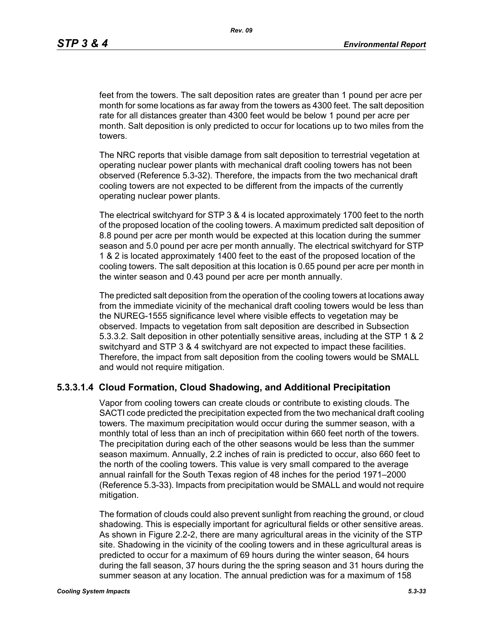feet from the towers. The salt deposition rates are greater than 1 pound per acre per month for some locations as far away from the towers as 4300 feet. The salt deposition rate for all distances greater than 4300 feet would be below 1 pound per acre per month. Salt deposition is only predicted to occur for locations up to two miles from the towers.

The NRC reports that visible damage from salt deposition to terrestrial vegetation at operating nuclear power plants with mechanical draft cooling towers has not been observed (Reference 5.3-32). Therefore, the impacts from the two mechanical draft cooling towers are not expected to be different from the impacts of the currently operating nuclear power plants.

The electrical switchyard for STP 3 & 4 is located approximately 1700 feet to the north of the proposed location of the cooling towers. A maximum predicted salt deposition of 8.8 pound per acre per month would be expected at this location during the summer season and 5.0 pound per acre per month annually. The electrical switchyard for STP 1 & 2 is located approximately 1400 feet to the east of the proposed location of the cooling towers. The salt deposition at this location is 0.65 pound per acre per month in the winter season and 0.43 pound per acre per month annually.

The predicted salt deposition from the operation of the cooling towers at locations away from the immediate vicinity of the mechanical draft cooling towers would be less than the NUREG-1555 significance level where visible effects to vegetation may be observed. Impacts to vegetation from salt deposition are described in Subsection 5.3.3.2. Salt deposition in other potentially sensitive areas, including at the STP 1 & 2 switchyard and STP 3 & 4 switchyard are not expected to impact these facilities. Therefore, the impact from salt deposition from the cooling towers would be SMALL and would not require mitigation.

## **5.3.3.1.4 Cloud Formation, Cloud Shadowing, and Additional Precipitation**

Vapor from cooling towers can create clouds or contribute to existing clouds. The SACTI code predicted the precipitation expected from the two mechanical draft cooling towers. The maximum precipitation would occur during the summer season, with a monthly total of less than an inch of precipitation within 660 feet north of the towers. The precipitation during each of the other seasons would be less than the summer season maximum. Annually, 2.2 inches of rain is predicted to occur, also 660 feet to the north of the cooling towers. This value is very small compared to the average annual rainfall for the South Texas region of 48 inches for the period 1971–2000 (Reference 5.3-33). Impacts from precipitation would be SMALL and would not require mitigation.

The formation of clouds could also prevent sunlight from reaching the ground, or cloud shadowing. This is especially important for agricultural fields or other sensitive areas. As shown in Figure 2.2-2, there are many agricultural areas in the vicinity of the STP site. Shadowing in the vicinity of the cooling towers and in these agricultural areas is predicted to occur for a maximum of 69 hours during the winter season, 64 hours during the fall season, 37 hours during the the spring season and 31 hours during the summer season at any location. The annual prediction was for a maximum of 158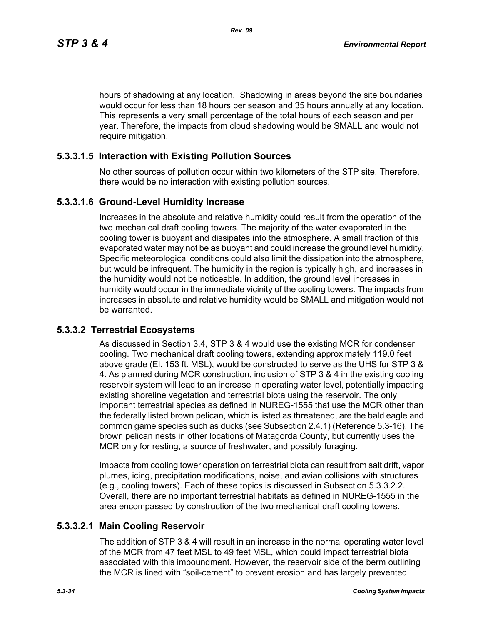hours of shadowing at any location. Shadowing in areas beyond the site boundaries would occur for less than 18 hours per season and 35 hours annually at any location. This represents a very small percentage of the total hours of each season and per year. Therefore, the impacts from cloud shadowing would be SMALL and would not require mitigation.

# **5.3.3.1.5 Interaction with Existing Pollution Sources**

No other sources of pollution occur within two kilometers of the STP site. Therefore, there would be no interaction with existing pollution sources.

## **5.3.3.1.6 Ground-Level Humidity Increase**

Increases in the absolute and relative humidity could result from the operation of the two mechanical draft cooling towers. The majority of the water evaporated in the cooling tower is buoyant and dissipates into the atmosphere. A small fraction of this evaporated water may not be as buoyant and could increase the ground level humidity. Specific meteorological conditions could also limit the dissipation into the atmosphere, but would be infrequent. The humidity in the region is typically high, and increases in the humidity would not be noticeable. In addition, the ground level increases in humidity would occur in the immediate vicinity of the cooling towers. The impacts from increases in absolute and relative humidity would be SMALL and mitigation would not be warranted.

# **5.3.3.2 Terrestrial Ecosystems**

As discussed in Section 3.4, STP 3 & 4 would use the existing MCR for condenser cooling. Two mechanical draft cooling towers, extending approximately 119.0 feet above grade (El. 153 ft. MSL), would be constructed to serve as the UHS for STP 3 & 4. As planned during MCR construction, inclusion of STP 3 & 4 in the existing cooling reservoir system will lead to an increase in operating water level, potentially impacting existing shoreline vegetation and terrestrial biota using the reservoir. The only important terrestrial species as defined in NUREG-1555 that use the MCR other than the federally listed brown pelican, which is listed as threatened, are the bald eagle and common game species such as ducks (see Subsection 2.4.1) (Reference 5.3-16). The brown pelican nests in other locations of Matagorda County, but currently uses the MCR only for resting, a source of freshwater, and possibly foraging.

Impacts from cooling tower operation on terrestrial biota can result from salt drift, vapor plumes, icing, precipitation modifications, noise, and avian collisions with structures (e.g., cooling towers). Each of these topics is discussed in Subsection 5.3.3.2.2. Overall, there are no important terrestrial habitats as defined in NUREG-1555 in the area encompassed by construction of the two mechanical draft cooling towers.

## **5.3.3.2.1 Main Cooling Reservoir**

The addition of STP 3 & 4 will result in an increase in the normal operating water level of the MCR from 47 feet MSL to 49 feet MSL, which could impact terrestrial biota associated with this impoundment. However, the reservoir side of the berm outlining the MCR is lined with "soil-cement" to prevent erosion and has largely prevented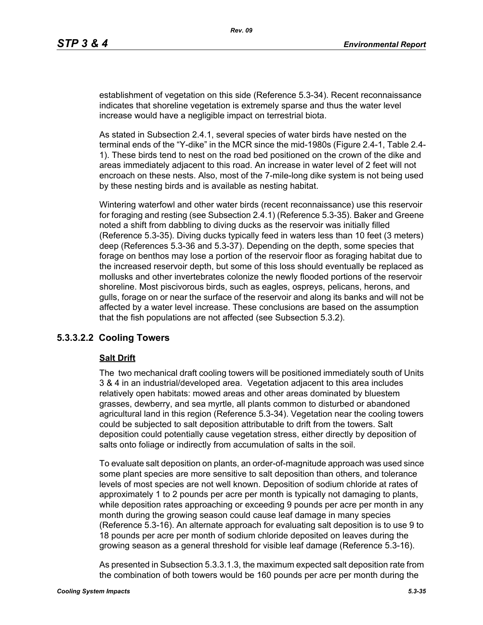establishment of vegetation on this side (Reference 5.3-34). Recent reconnaissance indicates that shoreline vegetation is extremely sparse and thus the water level increase would have a negligible impact on terrestrial biota.

As stated in Subsection 2.4.1, several species of water birds have nested on the terminal ends of the "Y-dike" in the MCR since the mid-1980s (Figure 2.4-1, Table 2.4- 1). These birds tend to nest on the road bed positioned on the crown of the dike and areas immediately adjacent to this road. An increase in water level of 2 feet will not encroach on these nests. Also, most of the 7-mile-long dike system is not being used by these nesting birds and is available as nesting habitat.

Wintering waterfowl and other water birds (recent reconnaissance) use this reservoir for foraging and resting (see Subsection 2.4.1) (Reference 5.3-35). Baker and Greene noted a shift from dabbling to diving ducks as the reservoir was initially filled (Reference 5.3-35). Diving ducks typically feed in waters less than 10 feet (3 meters) deep (References 5.3-36 and 5.3-37). Depending on the depth, some species that forage on benthos may lose a portion of the reservoir floor as foraging habitat due to the increased reservoir depth, but some of this loss should eventually be replaced as mollusks and other invertebrates colonize the newly flooded portions of the reservoir shoreline. Most piscivorous birds, such as eagles, ospreys, pelicans, herons, and gulls, forage on or near the surface of the reservoir and along its banks and will not be affected by a water level increase. These conclusions are based on the assumption that the fish populations are not affected (see Subsection 5.3.2).

## **5.3.3.2.2 Cooling Towers**

#### **Salt Drift**

The two mechanical draft cooling towers will be positioned immediately south of Units 3 & 4 in an industrial/developed area. Vegetation adjacent to this area includes relatively open habitats: mowed areas and other areas dominated by bluestem grasses, dewberry, and sea myrtle, all plants common to disturbed or abandoned agricultural land in this region (Reference 5.3-34). Vegetation near the cooling towers could be subjected to salt deposition attributable to drift from the towers. Salt deposition could potentially cause vegetation stress, either directly by deposition of salts onto foliage or indirectly from accumulation of salts in the soil.

To evaluate salt deposition on plants, an order-of-magnitude approach was used since some plant species are more sensitive to salt deposition than others, and tolerance levels of most species are not well known. Deposition of sodium chloride at rates of approximately 1 to 2 pounds per acre per month is typically not damaging to plants, while deposition rates approaching or exceeding 9 pounds per acre per month in any month during the growing season could cause leaf damage in many species (Reference 5.3-16). An alternate approach for evaluating salt deposition is to use 9 to 18 pounds per acre per month of sodium chloride deposited on leaves during the growing season as a general threshold for visible leaf damage (Reference 5.3-16).

As presented in Subsection 5.3.3.1.3, the maximum expected salt deposition rate from the combination of both towers would be 160 pounds per acre per month during the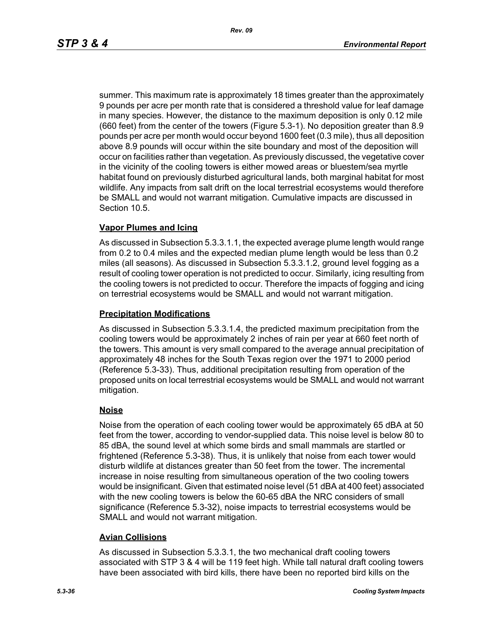summer. This maximum rate is approximately 18 times greater than the approximately 9 pounds per acre per month rate that is considered a threshold value for leaf damage in many species. However, the distance to the maximum deposition is only 0.12 mile (660 feet) from the center of the towers (Figure 5.3-1). No deposition greater than 8.9 pounds per acre per month would occur beyond 1600 feet (0.3 mile), thus all deposition above 8.9 pounds will occur within the site boundary and most of the deposition will occur on facilities rather than vegetation. As previously discussed, the vegetative cover in the vicinity of the cooling towers is either mowed areas or bluestem/sea myrtle habitat found on previously disturbed agricultural lands, both marginal habitat for most wildlife. Any impacts from salt drift on the local terrestrial ecosystems would therefore be SMALL and would not warrant mitigation. Cumulative impacts are discussed in Section 10.5.

## **Vapor Plumes and Icing**

As discussed in Subsection 5.3.3.1.1, the expected average plume length would range from 0.2 to 0.4 miles and the expected median plume length would be less than 0.2 miles (all seasons). As discussed in Subsection 5.3.3.1.2, ground level fogging as a result of cooling tower operation is not predicted to occur. Similarly, icing resulting from the cooling towers is not predicted to occur. Therefore the impacts of fogging and icing on terrestrial ecosystems would be SMALL and would not warrant mitigation.

#### **Precipitation Modifications**

As discussed in Subsection 5.3.3.1.4, the predicted maximum precipitation from the cooling towers would be approximately 2 inches of rain per year at 660 feet north of the towers. This amount is very small compared to the average annual precipitation of approximately 48 inches for the South Texas region over the 1971 to 2000 period (Reference 5.3-33). Thus, additional precipitation resulting from operation of the proposed units on local terrestrial ecosystems would be SMALL and would not warrant mitigation.

## **Noise**

Noise from the operation of each cooling tower would be approximately 65 dBA at 50 feet from the tower, according to vendor-supplied data. This noise level is below 80 to 85 dBA, the sound level at which some birds and small mammals are startled or frightened (Reference 5.3-38). Thus, it is unlikely that noise from each tower would disturb wildlife at distances greater than 50 feet from the tower. The incremental increase in noise resulting from simultaneous operation of the two cooling towers would be insignificant. Given that estimated noise level (51 dBA at 400 feet) associated with the new cooling towers is below the 60-65 dBA the NRC considers of small significance (Reference 5.3-32), noise impacts to terrestrial ecosystems would be SMALL and would not warrant mitigation.

## **Avian Collisions**

As discussed in Subsection 5.3.3.1, the two mechanical draft cooling towers associated with STP 3 & 4 will be 119 feet high. While tall natural draft cooling towers have been associated with bird kills, there have been no reported bird kills on the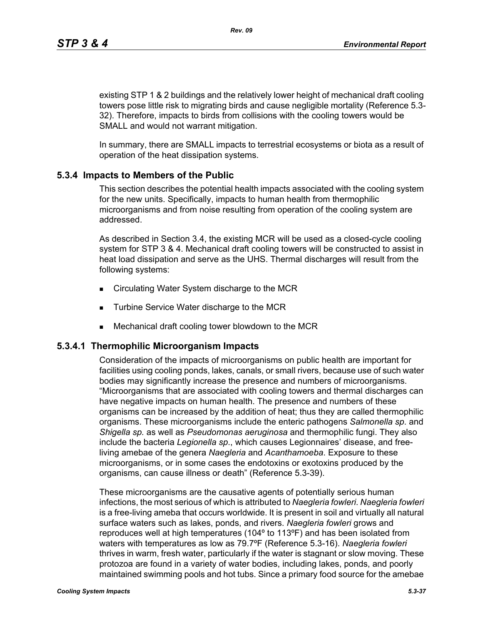existing STP 1 & 2 buildings and the relatively lower height of mechanical draft cooling towers pose little risk to migrating birds and cause negligible mortality (Reference 5.3- 32). Therefore, impacts to birds from collisions with the cooling towers would be SMALL and would not warrant mitigation.

In summary, there are SMALL impacts to terrestrial ecosystems or biota as a result of operation of the heat dissipation systems.

# **5.3.4 Impacts to Members of the Public**

This section describes the potential health impacts associated with the cooling system for the new units. Specifically, impacts to human health from thermophilic microorganisms and from noise resulting from operation of the cooling system are addressed.

As described in Section 3.4, the existing MCR will be used as a closed-cycle cooling system for STP 3 & 4. Mechanical draft cooling towers will be constructed to assist in heat load dissipation and serve as the UHS. Thermal discharges will result from the following systems:

- Circulating Water System discharge to the MCR
- **Turbine Service Water discharge to the MCR**
- Mechanical draft cooling tower blowdown to the MCR

# **5.3.4.1 Thermophilic Microorganism Impacts**

Consideration of the impacts of microorganisms on public health are important for facilities using cooling ponds, lakes, canals, or small rivers, because use of such water bodies may significantly increase the presence and numbers of microorganisms. "Microorganisms that are associated with cooling towers and thermal discharges can have negative impacts on human health. The presence and numbers of these organisms can be increased by the addition of heat; thus they are called thermophilic organisms. These microorganisms include the enteric pathogens *Salmonella sp*. and *Shigella sp.* as well as *Pseudomonas aeruginosa* and thermophilic fungi. They also include the bacteria *Legionella sp*., which causes Legionnaires' disease, and freeliving amebae of the genera *Naegleria* and *Acanthamoeba*. Exposure to these microorganisms, or in some cases the endotoxins or exotoxins produced by the organisms, can cause illness or death" (Reference 5.3-39).

These microorganisms are the causative agents of potentially serious human infections, the most serious of which is attributed to *Naegleria fowleri*. *Naegleria fowleri* is a free-living ameba that occurs worldwide. It is present in soil and virtually all natural surface waters such as lakes, ponds, and rivers. *Naegleria fowleri* grows and reproduces well at high temperatures (104º to 113ºF) and has been isolated from waters with temperatures as low as 79.7ºF (Reference 5.3-16). *Naegleria fowleri* thrives in warm, fresh water, particularly if the water is stagnant or slow moving. These protozoa are found in a variety of water bodies, including lakes, ponds, and poorly maintained swimming pools and hot tubs. Since a primary food source for the amebae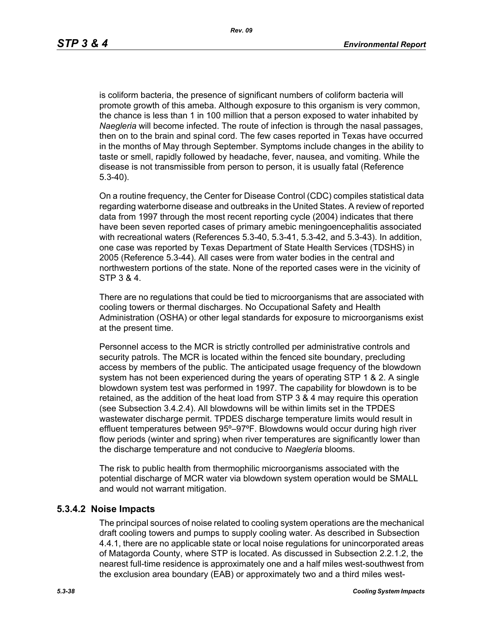is coliform bacteria, the presence of significant numbers of coliform bacteria will promote growth of this ameba. Although exposure to this organism is very common, the chance is less than 1 in 100 million that a person exposed to water inhabited by *Naegleria* will become infected. The route of infection is through the nasal passages, then on to the brain and spinal cord. The few cases reported in Texas have occurred in the months of May through September. Symptoms include changes in the ability to taste or smell, rapidly followed by headache, fever, nausea, and vomiting. While the disease is not transmissible from person to person, it is usually fatal (Reference 5.3-40).

On a routine frequency, the Center for Disease Control (CDC) compiles statistical data regarding waterborne disease and outbreaks in the United States. A review of reported data from 1997 through the most recent reporting cycle (2004) indicates that there have been seven reported cases of primary amebic meningoencephalitis associated with recreational waters (References 5.3-40, 5.3-41, 5.3-42, and 5.3-43). In addition, one case was reported by Texas Department of State Health Services (TDSHS) in 2005 (Reference 5.3-44). All cases were from water bodies in the central and northwestern portions of the state. None of the reported cases were in the vicinity of STP 3 & 4.

There are no regulations that could be tied to microorganisms that are associated with cooling towers or thermal discharges. No Occupational Safety and Health Administration (OSHA) or other legal standards for exposure to microorganisms exist at the present time.

Personnel access to the MCR is strictly controlled per administrative controls and security patrols. The MCR is located within the fenced site boundary, precluding access by members of the public. The anticipated usage frequency of the blowdown system has not been experienced during the years of operating STP 1 & 2. A single blowdown system test was performed in 1997. The capability for blowdown is to be retained, as the addition of the heat load from STP 3 & 4 may require this operation (see Subsection 3.4.2.4). All blowdowns will be within limits set in the TPDES wastewater discharge permit. TPDES discharge temperature limits would result in effluent temperatures between 95º–97ºF. Blowdowns would occur during high river flow periods (winter and spring) when river temperatures are significantly lower than the discharge temperature and not conducive to *Naegleria* blooms.

The risk to public health from thermophilic microorganisms associated with the potential discharge of MCR water via blowdown system operation would be SMALL and would not warrant mitigation.

#### **5.3.4.2 Noise Impacts**

The principal sources of noise related to cooling system operations are the mechanical draft cooling towers and pumps to supply cooling water. As described in Subsection 4.4.1, there are no applicable state or local noise regulations for unincorporated areas of Matagorda County, where STP is located. As discussed in Subsection 2.2.1.2, the nearest full-time residence is approximately one and a half miles west-southwest from the exclusion area boundary (EAB) or approximately two and a third miles west-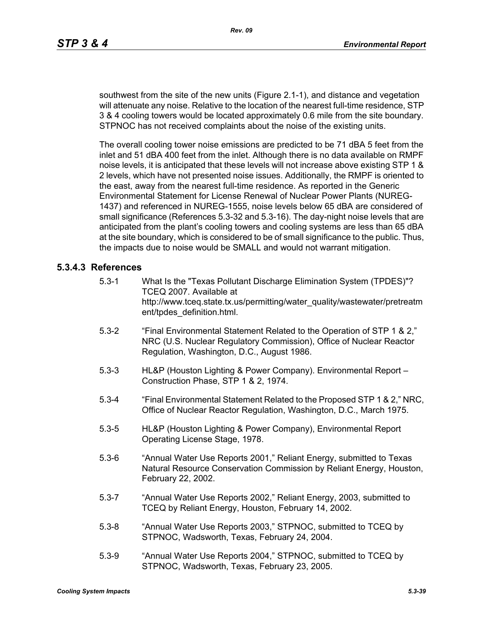southwest from the site of the new units (Figure 2.1-1), and distance and vegetation will attenuate any noise. Relative to the location of the nearest full-time residence, STP 3 & 4 cooling towers would be located approximately 0.6 mile from the site boundary. STPNOC has not received complaints about the noise of the existing units.

The overall cooling tower noise emissions are predicted to be 71 dBA 5 feet from the inlet and 51 dBA 400 feet from the inlet. Although there is no data available on RMPF noise levels, it is anticipated that these levels will not increase above existing STP 1 & 2 levels, which have not presented noise issues. Additionally, the RMPF is oriented to the east, away from the nearest full-time residence. As reported in the Generic Environmental Statement for License Renewal of Nuclear Power Plants (NUREG-1437) and referenced in NUREG-1555, noise levels below 65 dBA are considered of small significance (References 5.3-32 and 5.3-16). The day-night noise levels that are anticipated from the plant's cooling towers and cooling systems are less than 65 dBA at the site boundary, which is considered to be of small significance to the public. Thus, the impacts due to noise would be SMALL and would not warrant mitigation.

## **5.3.4.3 References**

- 5.3-1 What Is the "Texas Pollutant Discharge Elimination System (TPDES)"? TCEQ 2007. Available at http://www.tceq.state.tx.us/permitting/water\_quality/wastewater/pretreatm ent/tpdes\_definition.html.
- 5.3-2 "Final Environmental Statement Related to the Operation of STP 1 & 2," NRC (U.S. Nuclear Regulatory Commission), Office of Nuclear Reactor Regulation, Washington, D.C., August 1986.
- 5.3-3 HL&P (Houston Lighting & Power Company). Environmental Report Construction Phase, STP 1 & 2, 1974.
- 5.3-4 "Final Environmental Statement Related to the Proposed STP 1 & 2," NRC, Office of Nuclear Reactor Regulation, Washington, D.C., March 1975.
- 5.3-5 HL&P (Houston Lighting & Power Company), Environmental Report Operating License Stage, 1978.
- 5.3-6 "Annual Water Use Reports 2001," Reliant Energy, submitted to Texas Natural Resource Conservation Commission by Reliant Energy, Houston, February 22, 2002.
- 5.3-7 "Annual Water Use Reports 2002," Reliant Energy, 2003, submitted to TCEQ by Reliant Energy, Houston, February 14, 2002.
- 5.3-8 "Annual Water Use Reports 2003," STPNOC, submitted to TCEQ by STPNOC, Wadsworth, Texas, February 24, 2004.
- 5.3-9 "Annual Water Use Reports 2004," STPNOC, submitted to TCEQ by STPNOC, Wadsworth, Texas, February 23, 2005.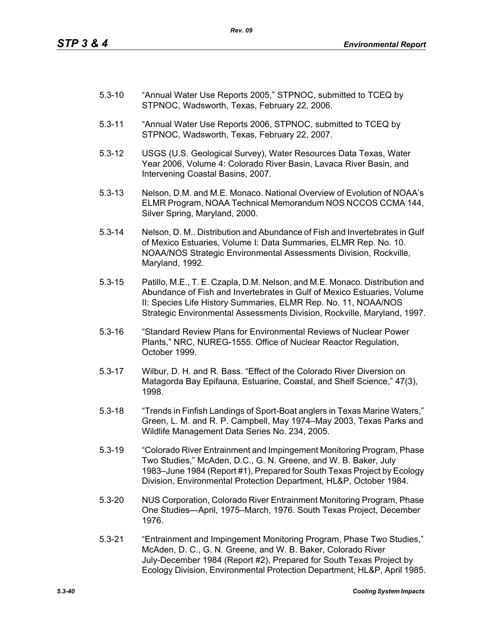- 5.3-10 "Annual Water Use Reports 2005," STPNOC, submitted to TCEQ by STPNOC, Wadsworth, Texas, February 22, 2006.
- 5.3-11 "Annual Water Use Reports 2006, STPNOC, submitted to TCEQ by STPNOC, Wadsworth, Texas, February 22, 2007.
- 5.3-12 USGS (U.S. Geological Survey), Water Resources Data Texas, Water Year 2006, Volume 4: Colorado River Basin, Lavaca River Basin, and Intervening Coastal Basins, 2007.
- 5.3-13 Nelson, D.M. and M.E. Monaco. National Overview of Evolution of NOAA's ELMR Program, NOAA Technical Memorandum NOS NCCOS CCMA 144, Silver Spring, Maryland, 2000.
- 5.3-14 Nelson, D. M.. Distribution and Abundance of Fish and Invertebrates in Gulf of Mexico Estuaries, Volume I: Data Summaries, ELMR Rep. No. 10. NOAA/NOS Strategic Environmental Assessments Division, Rockville, Maryland, 1992.
- 5.3-15 Patillo, M.E., T. E. Czapla, D.M. Nelson, and M.E. Monaco. Distribution and Abundance of Fish and Invertebrates in Gulf of Mexico Estuaries, Volume II: Species Life History Summaries, ELMR Rep. No. 11, NOAA/NOS Strategic Environmental Assessments Division, Rockville, Maryland, 1997.
- 5.3-16 "Standard Review Plans for Environmental Reviews of Nuclear Power Plants," NRC, NUREG-1555. Office of Nuclear Reactor Regulation, October 1999.
- 5.3-17 Wilbur, D. H. and R. Bass. "Effect of the Colorado River Diversion on Matagorda Bay Epifauna, Estuarine, Coastal, and Shelf Science," 47(3), 1998.
- 5.3-18 "Trends in Finfish Landings of Sport-Boat anglers in Texas Marine Waters," Green, L. M. and R. P. Campbell, May 1974–May 2003, Texas Parks and Wildlife Management Data Series No. 234, 2005.
- 5.3-19 "Colorado River Entrainment and Impingement Monitoring Program, Phase Two Studies," McAden, D.C., G. N. Greene, and W. B. Baker, July 1983–June 1984 (Report #1), Prepared for South Texas Project by Ecology Division, Environmental Protection Department, HL&P, October 1984.
- 5.3-20 NUS Corporation, Colorado River Entrainment Monitoring Program, Phase One Studies—April, 1975–March, 1976. South Texas Project, December 1976.
- 5.3-21 "Entrainment and Impingement Monitoring Program, Phase Two Studies," McAden, D. C., G. N. Greene, and W. B. Baker, Colorado River July-December 1984 (Report #2), Prepared for South Texas Project by Ecology Division, Environmental Protection Department, HL&P, April 1985.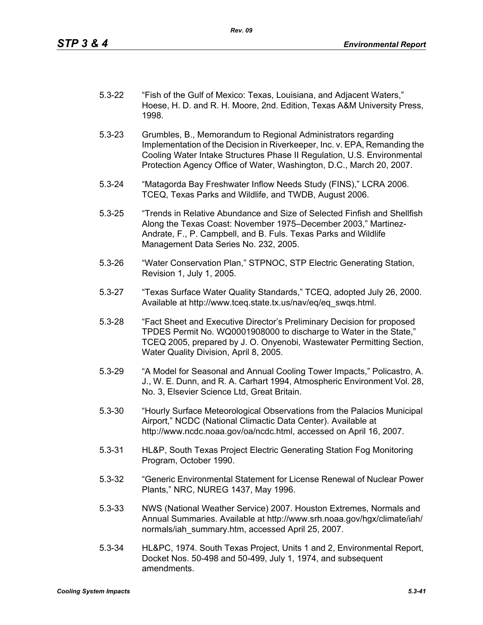| $5.3 - 22$ | "Fish of the Gulf of Mexico: Texas, Louisiana, and Adjacent Waters,"    |
|------------|-------------------------------------------------------------------------|
|            | Hoese, H. D. and R. H. Moore, 2nd. Edition, Texas A&M University Press, |
|            | 1998.                                                                   |

- 5.3-23 Grumbles, B., Memorandum to Regional Administrators regarding Implementation of the Decision in Riverkeeper, Inc. v. EPA, Remanding the Cooling Water Intake Structures Phase II Regulation, U.S. Environmental Protection Agency Office of Water, Washington, D.C., March 20, 2007.
- 5.3-24 "Matagorda Bay Freshwater Inflow Needs Study (FINS)," LCRA 2006. TCEQ, Texas Parks and Wildlife, and TWDB, August 2006.
- 5.3-25 "Trends in Relative Abundance and Size of Selected Finfish and Shellfish Along the Texas Coast: November 1975–December 2003," Martinez-Andrate, F., P. Campbell, and B. Fuls. Texas Parks and Wildlife Management Data Series No. 232, 2005.
- 5.3-26 "Water Conservation Plan," STPNOC, STP Electric Generating Station, Revision 1, July 1, 2005.
- 5.3-27 "Texas Surface Water Quality Standards," TCEQ, adopted July 26, 2000. Available at http://www.tceq.state.tx.us/nav/eq/eq\_swqs.html.
- 5.3-28 "Fact Sheet and Executive Director's Preliminary Decision for proposed TPDES Permit No. WQ0001908000 to discharge to Water in the State," TCEQ 2005, prepared by J. O. Onyenobi, Wastewater Permitting Section, Water Quality Division, April 8, 2005.
- 5.3-29 "A Model for Seasonal and Annual Cooling Tower Impacts," Policastro, A. J., W. E. Dunn, and R. A. Carhart 1994, Atmospheric Environment Vol. 28, No. 3, Elsevier Science Ltd, Great Britain.
- 5.3-30 "Hourly Surface Meteorological Observations from the Palacios Municipal Airport," NCDC (National Climactic Data Center). Available at http://www.ncdc.noaa.gov/oa/ncdc.html, accessed on April 16, 2007.
- 5.3-31 HL&P, South Texas Project Electric Generating Station Fog Monitoring Program, October 1990.
- 5.3-32 "Generic Environmental Statement for License Renewal of Nuclear Power Plants," NRC, NUREG 1437, May 1996.
- 5.3-33 NWS (National Weather Service) 2007. Houston Extremes, Normals and Annual Summaries. Available at http://www.srh.noaa.gov/hgx/climate/iah/ normals/iah\_summary.htm, accessed April 25, 2007.
- 5.3-34 HL&PC, 1974. South Texas Project, Units 1 and 2, Environmental Report, Docket Nos. 50-498 and 50-499, July 1, 1974, and subsequent amendments.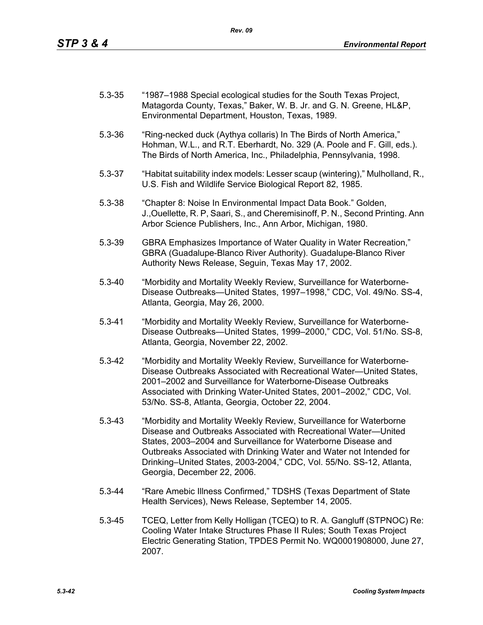| $5.3 - 35$ | "1987–1988 Special ecological studies for the South Texas Project, |
|------------|--------------------------------------------------------------------|
|            | Matagorda County, Texas," Baker, W. B. Jr. and G. N. Greene, HL&P, |
|            | Environmental Department, Houston, Texas, 1989.                    |

- 5.3-36 "Ring-necked duck (Aythya collaris) In The Birds of North America," Hohman, W.L., and R.T. Eberhardt, No. 329 (A. Poole and F. Gill, eds.). The Birds of North America, Inc., Philadelphia, Pennsylvania, 1998.
- 5.3-37 "Habitat suitability index models: Lesser scaup (wintering)," Mulholland, R., U.S. Fish and Wildlife Service Biological Report 82, 1985.
- 5.3-38 "Chapter 8: Noise In Environmental Impact Data Book." Golden, J.,Ouellette, R. P, Saari, S., and Cheremisinoff, P. N., Second Printing. Ann Arbor Science Publishers, Inc., Ann Arbor, Michigan, 1980.
- 5.3-39 GBRA Emphasizes Importance of Water Quality in Water Recreation," GBRA (Guadalupe-Blanco River Authority). Guadalupe-Blanco River Authority News Release, Seguin, Texas May 17, 2002.
- 5.3-40 "Morbidity and Mortality Weekly Review, Surveillance for Waterborne-Disease Outbreaks—United States, 1997–1998," CDC, Vol. 49/No. SS-4, Atlanta, Georgia, May 26, 2000.
- 5.3-41 "Morbidity and Mortality Weekly Review, Surveillance for Waterborne-Disease Outbreaks—United States, 1999–2000," CDC, Vol. 51/No. SS-8, Atlanta, Georgia, November 22, 2002.
- 5.3-42 "Morbidity and Mortality Weekly Review, Surveillance for Waterborne-Disease Outbreaks Associated with Recreational Water—United States, 2001–2002 and Surveillance for Waterborne-Disease Outbreaks Associated with Drinking Water-United States, 2001–2002," CDC, Vol. 53/No. SS-8, Atlanta, Georgia, October 22, 2004.
- 5.3-43 "Morbidity and Mortality Weekly Review, Surveillance for Waterborne Disease and Outbreaks Associated with Recreational Water—United States, 2003–2004 and Surveillance for Waterborne Disease and Outbreaks Associated with Drinking Water and Water not Intended for Drinking–United States, 2003-2004," CDC, Vol. 55/No. SS-12, Atlanta, Georgia, December 22, 2006.
- 5.3-44 "Rare Amebic Illness Confirmed," TDSHS (Texas Department of State Health Services), News Release, September 14, 2005.
- 5.3-45 TCEQ, Letter from Kelly Holligan (TCEQ) to R. A. Gangluff (STPNOC) Re: Cooling Water Intake Structures Phase II Rules; South Texas Project Electric Generating Station, TPDES Permit No. WQ0001908000, June 27, 2007.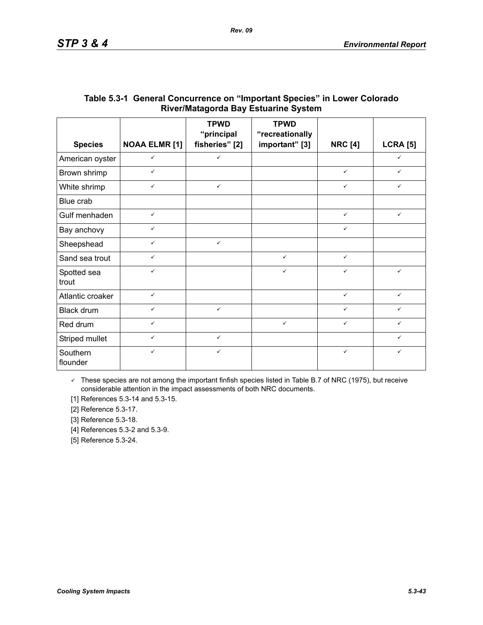|                      |                      | <b>TPWD</b><br>"principal | <b>TPWD</b><br>"recreationally |                |                 |
|----------------------|----------------------|---------------------------|--------------------------------|----------------|-----------------|
| <b>Species</b>       | <b>NOAA ELMR [1]</b> | fisheries" [2]            | important" [3]                 | <b>NRC [4]</b> | <b>LCRA [5]</b> |
| American oyster      | $\checkmark$         | $\checkmark$              |                                |                | $\checkmark$    |
| Brown shrimp         | $\checkmark$         |                           |                                | $\checkmark$   | $\checkmark$    |
| White shrimp         | $\checkmark$         | $\checkmark$              |                                | $\checkmark$   | ✓               |
| Blue crab            |                      |                           |                                |                |                 |
| Gulf menhaden        | $\checkmark$         |                           |                                | $\checkmark$   | $\checkmark$    |
| Bay anchovy          | $\checkmark$         |                           |                                | $\checkmark$   |                 |
| Sheepshead           | $\checkmark$         | $\checkmark$              |                                |                |                 |
| Sand sea trout       | $\checkmark$         |                           | $\checkmark$                   | $\checkmark$   |                 |
| Spotted sea<br>trout | $\checkmark$         |                           | $\checkmark$                   | $\checkmark$   | $\checkmark$    |
| Atlantic croaker     | $\checkmark$         |                           |                                | $\checkmark$   | $\checkmark$    |
| Black drum           | $\checkmark$         | $\checkmark$              |                                | $\checkmark$   | ✓               |
| Red drum             | $\checkmark$         |                           | $\checkmark$                   | $\checkmark$   | ✓               |
| Striped mullet       | $\checkmark$         | $\checkmark$              |                                |                | ✓               |
| Southern<br>flounder | $\checkmark$         | $\checkmark$              |                                | $\checkmark$   | ✓               |

# **Table 5.3-1 General Concurrence on "Important Species" in Lower Colorado River/Matagorda Bay Estuarine System**

 $\checkmark$  These species are not among the important finfish species listed in Table B.7 of NRC (1975), but receive considerable attention in the impact assessments of both NRC documents.

[1] References 5.3-14 and 5.3-15.

[2] Reference 5.3-17.

[3] Reference 5.3-18.

[4] References 5.3-2 and 5.3-9.

[5] Reference 5.3-24.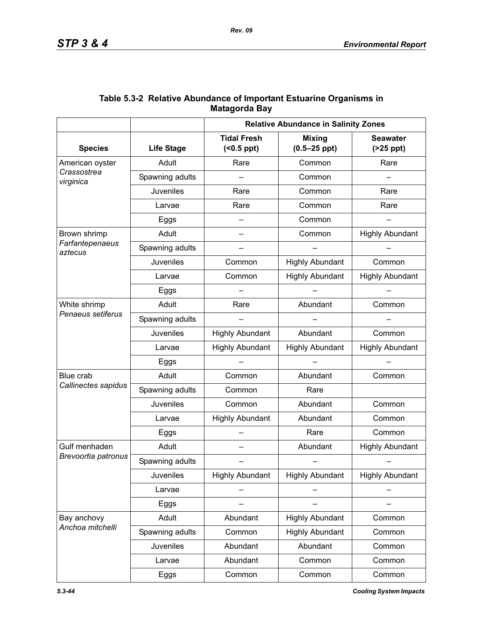|                            |                   | <b>Relative Abundance in Salinity Zones</b> |                                   |                               |  |
|----------------------------|-------------------|---------------------------------------------|-----------------------------------|-------------------------------|--|
| <b>Species</b>             | <b>Life Stage</b> | <b>Tidal Fresh</b><br>$( <0.5$ ppt $)$      | <b>Mixing</b><br>$(0.5 - 25$ ppt) | <b>Seawater</b><br>$(25$ ppt) |  |
| American oyster            | Adult             | Rare                                        | Common                            | Rare                          |  |
| Crassostrea<br>virginica   | Spawning adults   |                                             | Common                            |                               |  |
|                            | <b>Juveniles</b>  | Rare                                        | Common                            |                               |  |
|                            | Larvae            | Rare                                        | Common                            | Rare                          |  |
|                            | Eggs              | $\qquad \qquad$                             | Common                            |                               |  |
| Brown shrimp               | Adult             |                                             | Common                            | <b>Highly Abundant</b>        |  |
| Farfantepenaeus<br>aztecus | Spawning adults   |                                             |                                   |                               |  |
|                            | Juveniles         | Common                                      | <b>Highly Abundant</b>            | Common                        |  |
|                            | Larvae            | Common                                      | <b>Highly Abundant</b>            | <b>Highly Abundant</b>        |  |
|                            | Eggs              |                                             |                                   |                               |  |
| White shrimp               | Adult             | Rare                                        | Abundant                          | Common                        |  |
| Penaeus setiferus          | Spawning adults   |                                             |                                   |                               |  |
|                            | <b>Juveniles</b>  | <b>Highly Abundant</b>                      | Abundant                          | Common                        |  |
|                            | Larvae            | <b>Highly Abundant</b>                      | <b>Highly Abundant</b>            | <b>Highly Abundant</b>        |  |
|                            | Eggs              |                                             |                                   |                               |  |
| Blue crab                  | Adult             | Common                                      | Abundant                          | Common                        |  |
| Callinectes sapidus        | Spawning adults   | Common                                      | Rare                              |                               |  |
|                            | Juveniles         | Common                                      | Abundant                          | Common                        |  |
|                            | Larvae            | <b>Highly Abundant</b>                      | Abundant                          | Common                        |  |
|                            | Eggs              |                                             | Rare                              | Common                        |  |
| Gulf menhaden              | Adult             |                                             | Abundant                          | <b>Highly Abundant</b>        |  |
| Brevoortia patronus        | Spawning adults   |                                             |                                   |                               |  |
|                            | <b>Juveniles</b>  | <b>Highly Abundant</b>                      | <b>Highly Abundant</b>            | <b>Highly Abundant</b>        |  |
|                            | Larvae            |                                             |                                   |                               |  |
|                            | Eggs              |                                             |                                   |                               |  |
| Bay anchovy                | Adult             | Abundant                                    | <b>Highly Abundant</b>            | Common                        |  |
| Anchoa mitchelli           | Spawning adults   | Common                                      | <b>Highly Abundant</b>            | Common                        |  |
|                            | Juveniles         | Abundant                                    | Abundant                          | Common                        |  |
|                            | Larvae            | Abundant                                    | Common                            | Common                        |  |
|                            | Eggs              | Common                                      | Common                            | Common                        |  |

# **Table 5.3-2 Relative Abundance of Important Estuarine Organisms in Matagorda Bay**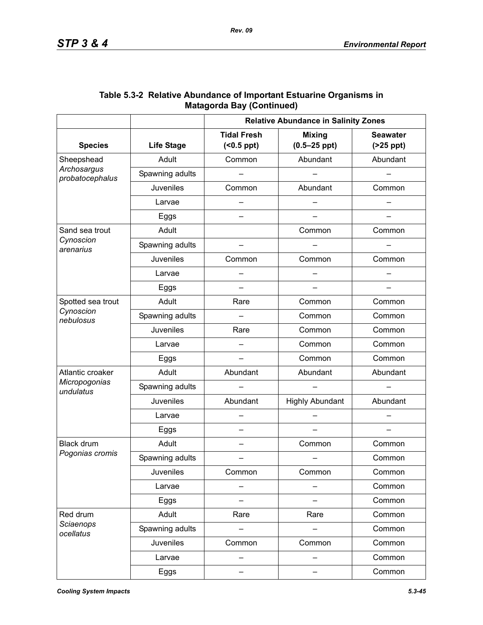|                                |                   | <b>Relative Abundance in Salinity Zones</b> |                                   |                               |  |
|--------------------------------|-------------------|---------------------------------------------|-----------------------------------|-------------------------------|--|
| <b>Species</b>                 | <b>Life Stage</b> | <b>Tidal Fresh</b><br>$( < 0.5$ ppt $)$     | <b>Mixing</b><br>$(0.5 - 25$ ppt) | <b>Seawater</b><br>$(25$ ppt) |  |
| Sheepshead                     | Adult             | Common                                      | Abundant                          | Abundant                      |  |
| Archosargus<br>probatocephalus | Spawning adults   |                                             |                                   |                               |  |
|                                | <b>Juveniles</b>  | Common                                      | Abundant                          | Common                        |  |
|                                | Larvae            |                                             |                                   |                               |  |
|                                | Eggs              |                                             |                                   |                               |  |
| Sand sea trout                 | Adult             |                                             | Common                            | Common                        |  |
| Cynoscion<br>arenarius         | Spawning adults   |                                             |                                   |                               |  |
|                                | Juveniles         | Common                                      | Common                            | Common                        |  |
|                                | Larvae            |                                             |                                   |                               |  |
|                                | Eggs              | —                                           |                                   |                               |  |
| Spotted sea trout              | Adult             | Rare                                        | Common                            | Common                        |  |
| Cynoscion<br>nebulosus         | Spawning adults   |                                             | Common                            | Common                        |  |
|                                | Juveniles         | Rare                                        | Common                            | Common                        |  |
|                                | Larvae            |                                             | Common                            | Common                        |  |
|                                | Eggs              |                                             | Common                            | Common                        |  |
| Atlantic croaker               | Adult             | Abundant                                    | Abundant                          | Abundant                      |  |
| Micropogonias<br>undulatus     | Spawning adults   |                                             |                                   |                               |  |
|                                | Juveniles         | Abundant                                    | <b>Highly Abundant</b>            | Abundant                      |  |
|                                | Larvae            |                                             |                                   |                               |  |
|                                | Eggs              |                                             |                                   |                               |  |
| <b>Black drum</b>              | Adult             | $\overline{\phantom{0}}$                    | Common                            | Common                        |  |
| Pogonias cromis                | Spawning adults   |                                             |                                   | Common                        |  |
|                                | <b>Juveniles</b>  | Common                                      | Common                            | Common                        |  |
|                                | Larvae            |                                             |                                   | Common                        |  |
|                                | Eggs              |                                             |                                   | Common                        |  |
| Red drum                       | Adult             | Rare                                        | Rare                              | Common                        |  |
| Sciaenops<br>ocellatus         | Spawning adults   |                                             |                                   | Common                        |  |
|                                | <b>Juveniles</b>  | Common                                      | Common                            | Common                        |  |
|                                | Larvae            |                                             |                                   | Common                        |  |
|                                | Eggs              | —                                           |                                   | Common                        |  |

### **Table 5.3-2 Relative Abundance of Important Estuarine Organisms in Matagorda Bay (Continued)**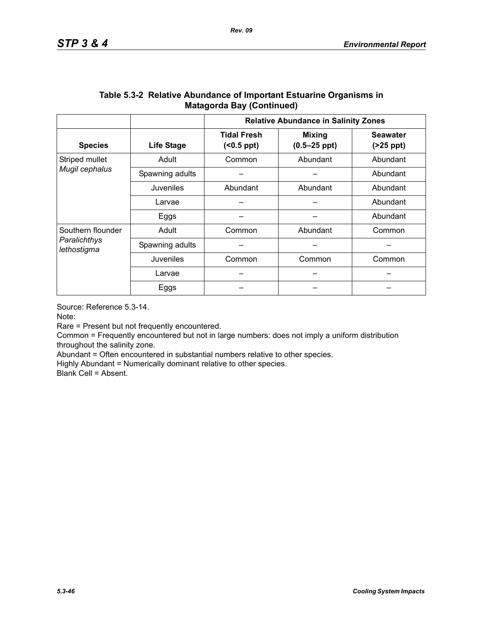|                                                  |                   | <b>Relative Abundance in Salinity Zones</b> |                                   |                               |  |
|--------------------------------------------------|-------------------|---------------------------------------------|-----------------------------------|-------------------------------|--|
| <b>Species</b>                                   | <b>Life Stage</b> | <b>Tidal Fresh</b><br>$( <0.5$ ppt $)$      | <b>Mixing</b><br>$(0.5 - 25$ ppt) | <b>Seawater</b><br>$(25$ ppt) |  |
| Striped mullet                                   | Adult             | Abundant<br>Common                          |                                   | Abundant                      |  |
| Mugil cephalus                                   | Spawning adults   |                                             |                                   | Abundant                      |  |
|                                                  | Juveniles         | Abundant<br>Abundant                        |                                   | Abundant                      |  |
|                                                  | Larvae            |                                             |                                   | Abundant                      |  |
|                                                  | Eggs              |                                             |                                   | Abundant                      |  |
| Southern flounder<br>Paralichthys<br>lethostigma | Adult             | Abundant<br>Common                          |                                   | Common                        |  |
|                                                  | Spawning adults   |                                             |                                   |                               |  |
|                                                  | Juveniles         | Common                                      | Common                            | Common                        |  |
|                                                  | Larvae            |                                             |                                   |                               |  |
|                                                  | Eggs              |                                             |                                   |                               |  |

### **Table 5.3-2 Relative Abundance of Important Estuarine Organisms in Matagorda Bay (Continued)**

Source: Reference 5.3-14.

Note:

Rare = Present but not frequently encountered.

Common = Frequently encountered but not in large numbers: does not imply a uniform distribution throughout the salinity zone.

Abundant = Often encountered in substantial numbers relative to other species.

Highly Abundant = Numerically dominant relative to other species.

Blank Cell = Absent.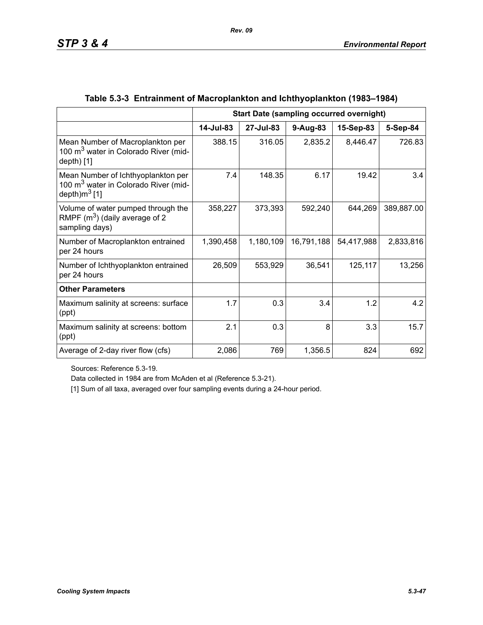|                                                                                                            | <b>Start Date (sampling occurred overnight)</b> |           |            |            |            |
|------------------------------------------------------------------------------------------------------------|-------------------------------------------------|-----------|------------|------------|------------|
|                                                                                                            | 14-Jul-83                                       | 27-Jul-83 | $9-Aug-83$ | 15-Sep-83  | 5-Sep-84   |
| Mean Number of Macroplankton per<br>100 m <sup>3</sup> water in Colorado River (mid-<br>$depth)$ [1]       | 388.15                                          | 316.05    | 2,835.2    | 8,446.47   | 726.83     |
| Mean Number of Ichthyoplankton per<br>100 m <sup>3</sup> water in Colorado River (mid-<br>depth) $m^3$ [1] | 7.4                                             | 148.35    | 6.17       | 19.42      | 3.4        |
| Volume of water pumped through the<br>RMPF $(m^3)$ (daily average of 2<br>sampling days)                   | 358,227                                         | 373,393   | 592,240    | 644,269    | 389,887.00 |
| Number of Macroplankton entrained<br>per 24 hours                                                          | 1,390,458                                       | 1,180,109 | 16,791,188 | 54,417,988 | 2,833,816  |
| Number of Ichthyoplankton entrained<br>per 24 hours                                                        | 26,509                                          | 553,929   | 36,541     | 125,117    | 13,256     |
| <b>Other Parameters</b>                                                                                    |                                                 |           |            |            |            |
| Maximum salinity at screens: surface<br>(ppt)                                                              | 1.7                                             | 0.3       | 3.4        | 1.2        | 4.2        |
| Maximum salinity at screens: bottom<br>(ppt)                                                               | 2.1                                             | 0.3       | 8          | 3.3        | 15.7       |
| Average of 2-day river flow (cfs)                                                                          | 2,086                                           | 769       | 1,356.5    | 824        | 692        |

# **Table 5.3-3 Entrainment of Macroplankton and Ichthyoplankton (1983–1984)**

Sources: Reference 5.3-19.

Data collected in 1984 are from McAden et al (Reference 5.3-21).

[1] Sum of all taxa, averaged over four sampling events during a 24-hour period.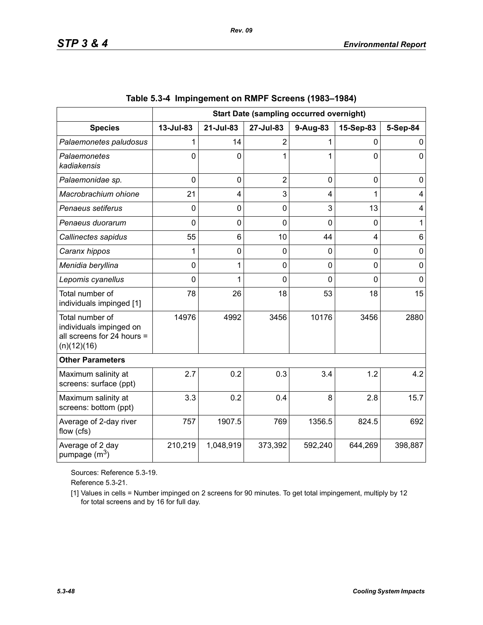|                                                                                         | <b>Start Date (sampling occurred overnight)</b> |                |                |                |             |                |
|-----------------------------------------------------------------------------------------|-------------------------------------------------|----------------|----------------|----------------|-------------|----------------|
| <b>Species</b>                                                                          | 13-Jul-83                                       | 21-Jul-83      | 27-Jul-83      | 9-Aug-83       | 15-Sep-83   | 5-Sep-84       |
| Palaemonetes paludosus                                                                  |                                                 | 14             | $\overline{2}$ |                | 0           | 0              |
| Palaemonetes<br>kadiakensis                                                             | $\Omega$                                        | $\Omega$       | 1              |                | 0           | $\Omega$       |
| Palaemonidae sp.                                                                        | $\overline{0}$                                  | $\overline{0}$ | $\overline{2}$ | $\overline{0}$ | $\mathbf 0$ | 0              |
| Macrobrachium ohione                                                                    | 21                                              | 4              | 3              | 4              | 1           | $\overline{4}$ |
| Penaeus setiferus                                                                       | $\Omega$                                        | 0              | $\overline{0}$ | 3              | 13          | $\overline{4}$ |
| Penaeus duorarum                                                                        | 0                                               | 0              | 0              | $\Omega$       | 0           | 1              |
| Callinectes sapidus                                                                     | 55                                              | 6              | 10             | 44             | 4           | 6              |
| Caranx hippos                                                                           | 1                                               | 0              | 0              | 0              | 0           | $\mathbf 0$    |
| Menidia beryllina                                                                       | 0                                               | 1              | 0              | 0              | 0           | $\mathbf 0$    |
| Lepomis cyanellus                                                                       | $\Omega$                                        | 1              | 0              | $\Omega$       | 0           | $\mathbf 0$    |
| Total number of<br>individuals impinged [1]                                             | 78                                              | 26             | 18             | 53             | 18          | 15             |
| Total number of<br>individuals impinged on<br>all screens for 24 hours =<br>(n)(12)(16) | 14976                                           | 4992           | 3456           | 10176          | 3456        | 2880           |
| <b>Other Parameters</b>                                                                 |                                                 |                |                |                |             |                |
| Maximum salinity at<br>screens: surface (ppt)                                           | 2.7                                             | 0.2            | 0.3            | 3.4            | 1.2         | 4.2            |
| Maximum salinity at<br>screens: bottom (ppt)                                            | 3.3                                             | 0.2            | 0.4            | 8              | 2.8         | 15.7           |
| Average of 2-day river<br>flow (cfs)                                                    | 757                                             | 1907.5         | 769            | 1356.5         | 824.5       | 692            |
| Average of 2 day<br>pumpage $(m^3)$                                                     | 210,219                                         | 1,048,919      | 373,392        | 592,240        | 644,269     | 398,887        |

|  | Table 5.3-4 Impingement on RMPF Screens (1983–1984) |  |  |  |
|--|-----------------------------------------------------|--|--|--|
|--|-----------------------------------------------------|--|--|--|

*Rev. 09*

Sources: Reference 5.3-19.

Reference 5.3-21.

[1] Values in cells = Number impinged on 2 screens for 90 minutes. To get total impingement, multiply by 12 for total screens and by 16 for full day.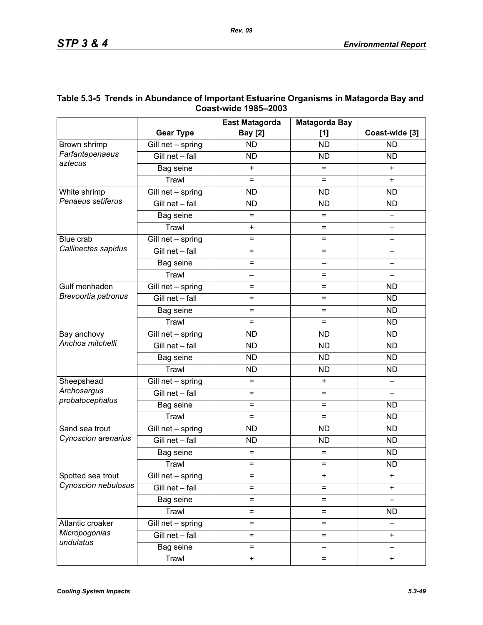|                                 |                                 | <b>East Matagorda</b>    | <b>Matagorda Bay</b>     |                          |
|---------------------------------|---------------------------------|--------------------------|--------------------------|--------------------------|
|                                 | <b>Gear Type</b>                | <b>Bay</b> [2]           | [1]                      | Coast-wide [3]           |
| Brown shrimp                    | Gill net - spring               | <b>ND</b>                | <b>ND</b>                | <b>ND</b>                |
| Farfantepenaeus                 | Gill net - fall                 | <b>ND</b>                | <b>ND</b>                | <b>ND</b>                |
| aztecus                         | Bag seine                       | $\ddot{}$                | $=$                      | $+$                      |
|                                 | Trawl                           | $=$                      | $=$                      | $\ddot{}$                |
| White shrimp                    | $\overline{G}$ ill net - spring | <b>ND</b>                | <b>ND</b>                | <b>ND</b>                |
| Penaeus setiferus               | Gill net - fall                 | <b>ND</b>                | <b>ND</b>                | <b>ND</b>                |
|                                 | Bag seine                       | $=$<br>$=$               |                          |                          |
|                                 | Trawl                           | $\ddot{}$                | $=$                      | $\overline{\phantom{0}}$ |
| Blue crab                       | $\overline{G}$ ill net - spring | $=$                      | =                        |                          |
| Callinectes sapidus             | Gill net - fall                 | $=$                      | $=$                      |                          |
|                                 | Bag seine                       | $=$                      | $\overline{\phantom{0}}$ |                          |
|                                 | Trawl                           | $\overline{\phantom{0}}$ | $=$                      | $\qquad \qquad$          |
| Gulf menhaden                   | Gill net - spring               | $=$                      | =                        | <b>ND</b>                |
| Brevoortia patronus             | Gill net - fall                 | $=$                      | $=$                      | <b>ND</b>                |
|                                 | Bag seine                       | $=$                      | $=$                      | <b>ND</b>                |
|                                 | Trawl                           | $=$                      | $=$                      | <b>ND</b>                |
| Bay anchovy<br>Anchoa mitchelli | $\overline{G}$ ill net - spring | <b>ND</b>                | <b>ND</b>                | <b>ND</b>                |
|                                 | Gill net - fall                 | <b>ND</b>                | <b>ND</b>                | <b>ND</b>                |
|                                 | Bag seine                       | <b>ND</b>                | <b>ND</b>                | <b>ND</b>                |
|                                 | Trawl                           | <b>ND</b>                | <b>ND</b>                | <b>ND</b>                |
| Sheepshead                      | Gill net - spring               | $=$                      | $\ddot{}$                |                          |
| Archosargus                     | Gill net - fall                 | $=$                      | $=$                      |                          |
| probatocephalus                 | Bag seine                       | $=$                      | $=$                      | <b>ND</b>                |
|                                 | Trawl                           | $=$                      | $=$                      | <b>ND</b>                |
| Sand sea trout                  | Gill net - spring               | <b>ND</b>                | <b>ND</b>                | <b>ND</b>                |
| Cynoscion arenarius             | Gill net - fall                 | <b>ND</b>                | <b>ND</b>                | <b>ND</b>                |
|                                 | Bag seine                       | $=$                      | $=$                      | <b>ND</b>                |
|                                 | Trawl                           | $=$                      | $=$                      | <b>ND</b>                |
| Spotted sea trout               | Gill net - spring               | $=$                      | $\ddot{}$                | $\ddot{}$                |
| Cynoscion nebulosus             | Gill net - fall                 | $=$                      | $=$                      | $\ddot{}$                |
|                                 | Bag seine                       | $=$                      | $=$                      |                          |
|                                 | Trawl                           | $=$                      | $=$                      | <b>ND</b>                |
| Atlantic croaker                | Gill net - spring               | $=$                      | $=$                      |                          |
| Micropogonias                   | Gill net - fall                 | $=$                      | $=$                      | $\ddot{}$                |
| undulatus                       | Bag seine                       | $=$                      | $\overline{\phantom{0}}$ |                          |
|                                 | Trawl                           | $\pmb{+}$                | $=$                      | $\ddot{}$                |

## **Table 5.3-5 Trends in Abundance of Important Estuarine Organisms in Matagorda Bay and Coast-wide 1985–2003**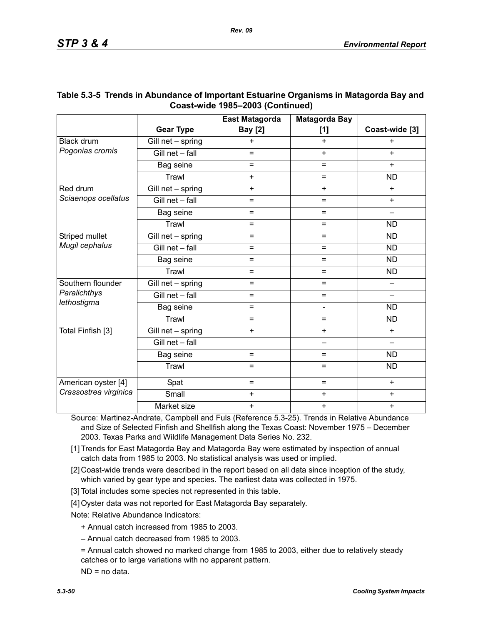|                       |                   | <b>East Matagorda</b> | <b>Matagorda Bay</b> |                |
|-----------------------|-------------------|-----------------------|----------------------|----------------|
|                       | <b>Gear Type</b>  | <b>Bay</b> [2]        | [1]                  | Coast-wide [3] |
| <b>Black drum</b>     | Gill net - spring | $\ddot{}$             | $\ddot{}$            | $\ddot{}$      |
| Pogonias cromis       | Gill net - fall   | $=$                   | $+$                  | $+$            |
|                       | Bag seine         | $=$                   | $=$                  | $+$            |
|                       | Trawl             | $+$                   | $=$                  | <b>ND</b>      |
| Red drum              | Gill net - spring | $+$                   | $\ddot{}$            | $+$            |
| Sciaenops ocellatus   | Gill net - fall   | $=$                   | $\equiv$             | $\ddot{}$      |
|                       | Bag seine         | $=$                   | $\equiv$             |                |
|                       | Trawl             | $=$                   | $=$                  | <b>ND</b>      |
| Striped mullet        | Gill net - spring | $=$                   | $\equiv$             | <b>ND</b>      |
| Mugil cephalus        | Gill net - fall   | $=$                   | $\equiv$             | <b>ND</b>      |
|                       | Bag seine         | $=$                   | $=$                  | <b>ND</b>      |
|                       | Trawl             | $=$                   | $=$                  | <b>ND</b>      |
| Southern flounder     | Gill net - spring | $=$                   | $=$                  |                |
| Paralichthys          | Gill net - fall   | $=$                   | $=$                  |                |
| lethostigma           | Bag seine         | $=$                   | L,                   | <b>ND</b>      |
|                       | Trawl             | $=$                   | $=$                  | <b>ND</b>      |
| Total Finfish [3]     | Gill net - spring | $+$                   | $+$                  | $+$            |
|                       | Gill net - fall   |                       | —                    | $\equiv$       |
|                       | Bag seine         | $=$                   | $\equiv$             | <b>ND</b>      |
|                       | Trawl             | $=$                   | $=$                  | <b>ND</b>      |
| American oyster [4]   | Spat              | $=$                   | $=$                  | $+$            |
| Crassostrea virginica | Small             | $\ddot{}$             | $\ddot{}$            | $\ddot{}$      |
|                       | Market size       | $\ddot{}$             | $\ddot{}$            | $\ddot{}$      |

## **Table 5.3-5 Trends in Abundance of Important Estuarine Organisms in Matagorda Bay and Coast-wide 1985–2003 (Continued)**

Source: Martinez-Andrate, Campbell and Fuls (Reference 5.3-25). Trends in Relative Abundance and Size of Selected Finfish and Shellfish along the Texas Coast: November 1975 – December 2003. Texas Parks and Wildlife Management Data Series No. 232.

- [1] Trends for East Matagorda Bay and Matagorda Bay were estimated by inspection of annual catch data from 1985 to 2003. No statistical analysis was used or implied.
- [2] Coast-wide trends were described in the report based on all data since inception of the study, which varied by gear type and species. The earliest data was collected in 1975.
- [3] Total includes some species not represented in this table.
- [4] Oyster data was not reported for East Matagorda Bay separately.

Note: Relative Abundance Indicators:

- + Annual catch increased from 1985 to 2003.
- Annual catch decreased from 1985 to 2003.
- = Annual catch showed no marked change from 1985 to 2003, either due to relatively steady catches or to large variations with no apparent pattern.

ND = no data.